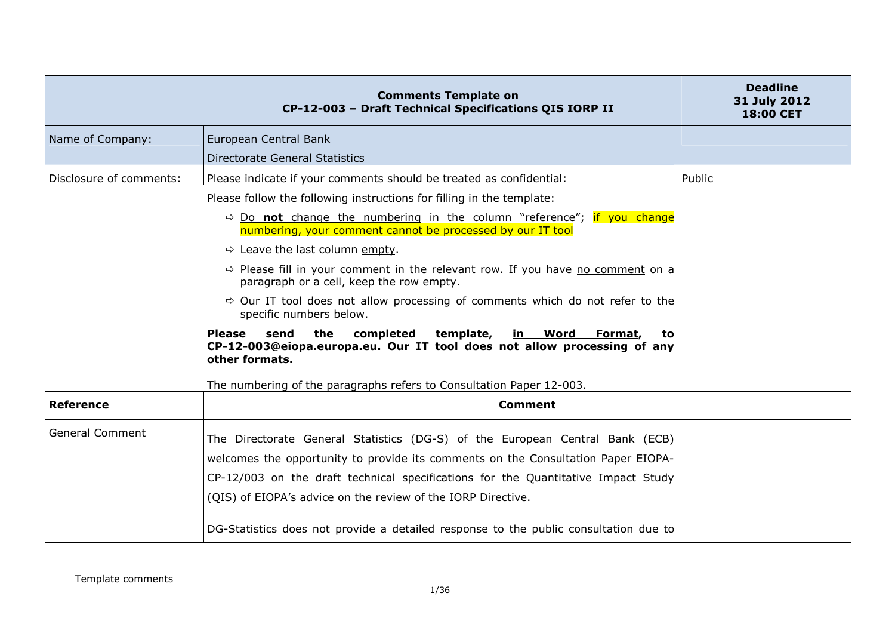|                         | <b>Comments Template on</b><br>CP-12-003 - Draft Technical Specifications QIS IORP II                                                                                           | <b>Deadline</b><br>31 July 2012<br>18:00 CET |
|-------------------------|---------------------------------------------------------------------------------------------------------------------------------------------------------------------------------|----------------------------------------------|
| Name of Company:        | European Central Bank                                                                                                                                                           |                                              |
|                         | Directorate General Statistics                                                                                                                                                  |                                              |
| Disclosure of comments: | Please indicate if your comments should be treated as confidential:                                                                                                             | Public                                       |
|                         | Please follow the following instructions for filling in the template:                                                                                                           |                                              |
|                         | $\Rightarrow$ Do not change the numbering in the column "reference"; if you change<br>numbering, your comment cannot be processed by our IT tool                                |                                              |
|                         | $\Rightarrow$ Leave the last column empty.                                                                                                                                      |                                              |
|                         | $\Rightarrow$ Please fill in your comment in the relevant row. If you have no comment on a<br>paragraph or a cell, keep the row empty.                                          |                                              |
|                         | $\Rightarrow$ Our IT tool does not allow processing of comments which do not refer to the<br>specific numbers below.                                                            |                                              |
|                         | send<br>the<br>completed<br>template,<br><b>Please</b><br>in Word<br>Format,<br>to<br>CP-12-003@eiopa.europa.eu. Our IT tool does not allow processing of any<br>other formats. |                                              |
|                         | The numbering of the paragraphs refers to Consultation Paper 12-003.                                                                                                            |                                              |
| <b>Reference</b>        | <b>Comment</b>                                                                                                                                                                  |                                              |
| <b>General Comment</b>  | The Directorate General Statistics (DG-S) of the European Central Bank (ECB)                                                                                                    |                                              |
|                         | welcomes the opportunity to provide its comments on the Consultation Paper EIOPA-                                                                                               |                                              |
|                         | CP-12/003 on the draft technical specifications for the Quantitative Impact Study                                                                                               |                                              |
|                         | (QIS) of EIOPA's advice on the review of the IORP Directive.                                                                                                                    |                                              |
|                         | DG-Statistics does not provide a detailed response to the public consultation due to                                                                                            |                                              |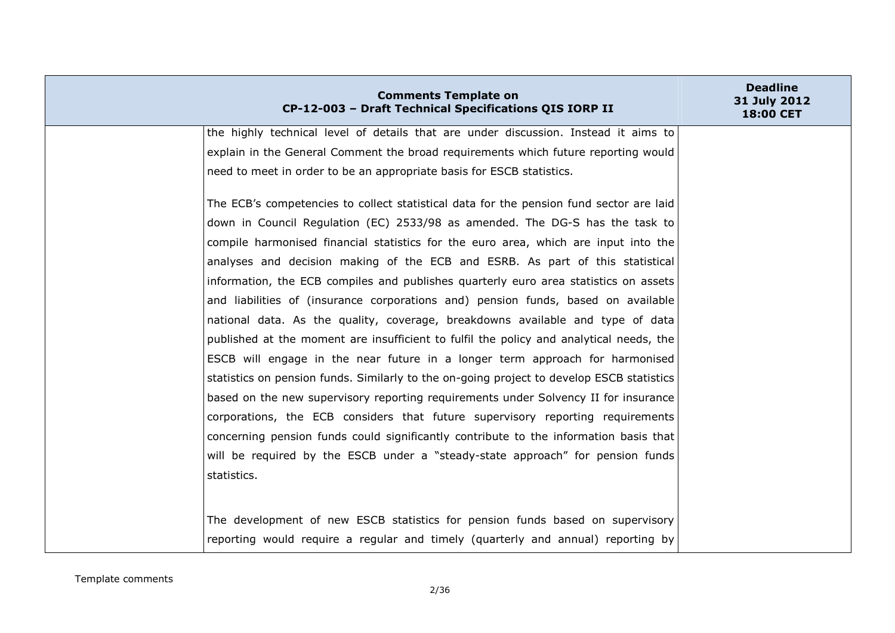| <b>Comments Template on</b><br>CP-12-003 - Draft Technical Specifications QIS IORP II     | <b>Deadline</b><br>31 July 2012<br><b>18:00 CET</b> |
|-------------------------------------------------------------------------------------------|-----------------------------------------------------|
| the highly technical level of details that are under discussion. Instead it aims to       |                                                     |
| explain in the General Comment the broad requirements which future reporting would        |                                                     |
| need to meet in order to be an appropriate basis for ESCB statistics.                     |                                                     |
| The ECB's competencies to collect statistical data for the pension fund sector are laid   |                                                     |
| down in Council Regulation (EC) 2533/98 as amended. The DG-S has the task to              |                                                     |
| compile harmonised financial statistics for the euro area, which are input into the       |                                                     |
| analyses and decision making of the ECB and ESRB. As part of this statistical             |                                                     |
| information, the ECB compiles and publishes quarterly euro area statistics on assets      |                                                     |
| and liabilities of (insurance corporations and) pension funds, based on available         |                                                     |
| national data. As the quality, coverage, breakdowns available and type of data            |                                                     |
| published at the moment are insufficient to fulfil the policy and analytical needs, the   |                                                     |
| ESCB will engage in the near future in a longer term approach for harmonised              |                                                     |
| statistics on pension funds. Similarly to the on-going project to develop ESCB statistics |                                                     |
| based on the new supervisory reporting requirements under Solvency II for insurance       |                                                     |
| corporations, the ECB considers that future supervisory reporting requirements            |                                                     |
| concerning pension funds could significantly contribute to the information basis that     |                                                     |
| will be required by the ESCB under a "steady-state approach" for pension funds            |                                                     |
| statistics.                                                                               |                                                     |
|                                                                                           |                                                     |
| The development of new ESCB statistics for pension funds based on supervisory             |                                                     |
| reporting would require a regular and timely (quarterly and annual) reporting by          |                                                     |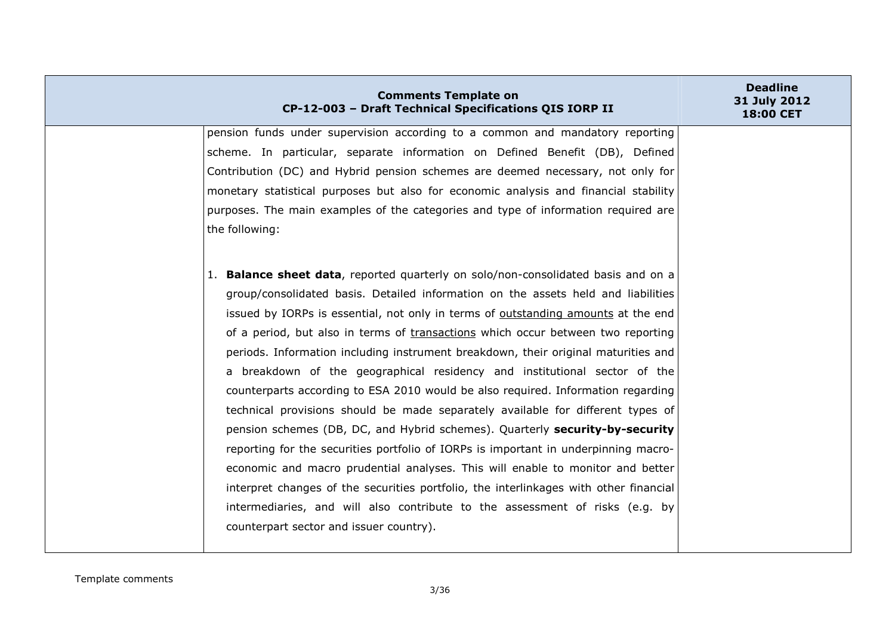| <b>Comments Template on</b><br>CP-12-003 - Draft Technical Specifications QIS IORP II | <b>Deadline</b><br>31 July 2012<br>18:00 CET |
|---------------------------------------------------------------------------------------|----------------------------------------------|
| pension funds under supervision according to a common and mandatory reporting         |                                              |
| scheme. In particular, separate information on Defined Benefit (DB), Defined          |                                              |
| Contribution (DC) and Hybrid pension schemes are deemed necessary, not only for       |                                              |
| monetary statistical purposes but also for economic analysis and financial stability  |                                              |
| purposes. The main examples of the categories and type of information required are    |                                              |
| the following:                                                                        |                                              |
| 1. Balance sheet data, reported quarterly on solo/non-consolidated basis and on a     |                                              |
| group/consolidated basis. Detailed information on the assets held and liabilities     |                                              |
| issued by IORPs is essential, not only in terms of outstanding amounts at the end     |                                              |
| of a period, but also in terms of transactions which occur between two reporting      |                                              |
| periods. Information including instrument breakdown, their original maturities and    |                                              |
| a breakdown of the geographical residency and institutional sector of the             |                                              |
| counterparts according to ESA 2010 would be also required. Information regarding      |                                              |
| technical provisions should be made separately available for different types of       |                                              |
| pension schemes (DB, DC, and Hybrid schemes). Quarterly security-by-security          |                                              |
| reporting for the securities portfolio of IORPs is important in underpinning macro-   |                                              |
| economic and macro prudential analyses. This will enable to monitor and better        |                                              |
| interpret changes of the securities portfolio, the interlinkages with other financial |                                              |
|                                                                                       |                                              |
| intermediaries, and will also contribute to the assessment of risks (e.g. by          |                                              |
| counterpart sector and issuer country).                                               |                                              |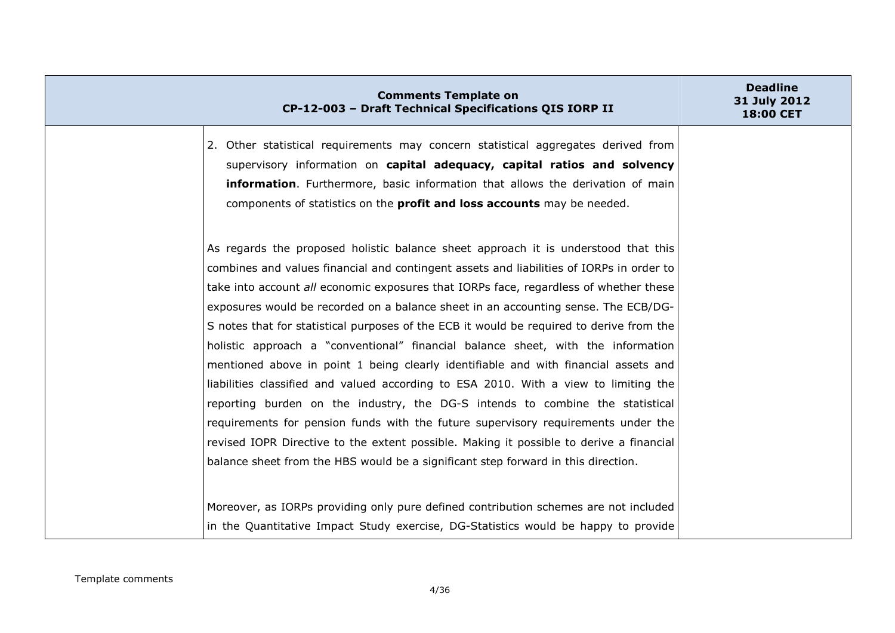| <b>Comments Template on</b><br>CP-12-003 - Draft Technical Specifications QIS IORP II                                                                                                                                                                                                                                                                                                                                                                                                                                                                                                                                                                                                                                                                                                                                                                                                                                                                                                                                                                                              | <b>Deadline</b><br>31 July 2012<br><b>18:00 CET</b> |
|------------------------------------------------------------------------------------------------------------------------------------------------------------------------------------------------------------------------------------------------------------------------------------------------------------------------------------------------------------------------------------------------------------------------------------------------------------------------------------------------------------------------------------------------------------------------------------------------------------------------------------------------------------------------------------------------------------------------------------------------------------------------------------------------------------------------------------------------------------------------------------------------------------------------------------------------------------------------------------------------------------------------------------------------------------------------------------|-----------------------------------------------------|
| 2. Other statistical requirements may concern statistical aggregates derived from<br>supervisory information on capital adequacy, capital ratios and solvency<br>information. Furthermore, basic information that allows the derivation of main<br>components of statistics on the <b>profit and loss accounts</b> may be needed.                                                                                                                                                                                                                                                                                                                                                                                                                                                                                                                                                                                                                                                                                                                                                  |                                                     |
| As regards the proposed holistic balance sheet approach it is understood that this<br>combines and values financial and contingent assets and liabilities of IORPs in order to<br>take into account all economic exposures that IORPs face, regardless of whether these<br>exposures would be recorded on a balance sheet in an accounting sense. The ECB/DG-<br>S notes that for statistical purposes of the ECB it would be required to derive from the<br>holistic approach a "conventional" financial balance sheet, with the information<br>mentioned above in point 1 being clearly identifiable and with financial assets and<br>liabilities classified and valued according to ESA 2010. With a view to limiting the<br>reporting burden on the industry, the DG-S intends to combine the statistical<br>requirements for pension funds with the future supervisory requirements under the<br>revised IOPR Directive to the extent possible. Making it possible to derive a financial<br>balance sheet from the HBS would be a significant step forward in this direction. |                                                     |
| Moreover, as IORPs providing only pure defined contribution schemes are not included<br>in the Quantitative Impact Study exercise, DG-Statistics would be happy to provide                                                                                                                                                                                                                                                                                                                                                                                                                                                                                                                                                                                                                                                                                                                                                                                                                                                                                                         |                                                     |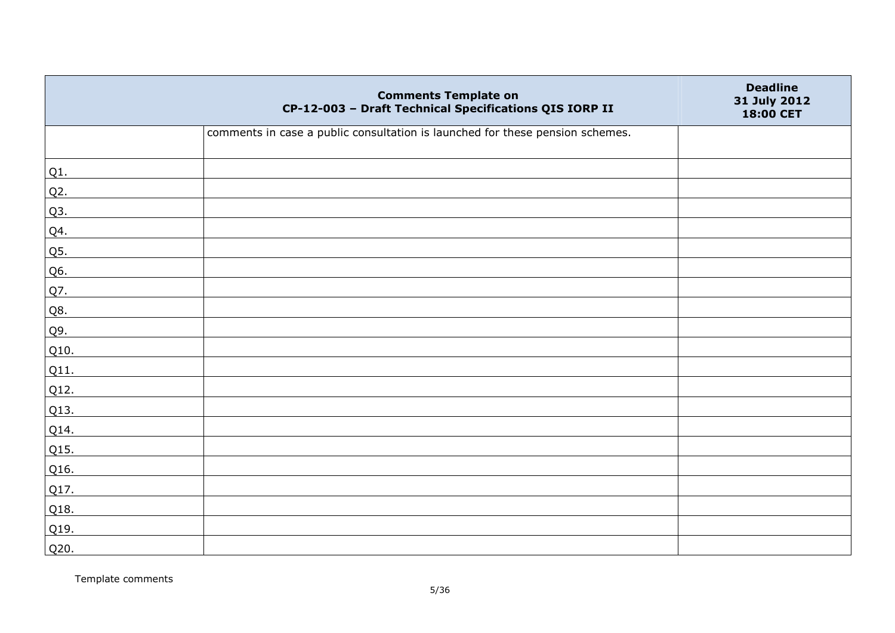|                 | <b>Comments Template on</b><br>CP-12-003 - Draft Technical Specifications QIS IORP II | <b>Deadline</b><br>31 July 2012<br>18:00 CET |
|-----------------|---------------------------------------------------------------------------------------|----------------------------------------------|
|                 | comments in case a public consultation is launched for these pension schemes.         |                                              |
| Q1.             |                                                                                       |                                              |
| $Q2$ .          |                                                                                       |                                              |
| Q3.             |                                                                                       |                                              |
| Q4.             |                                                                                       |                                              |
| Q5.             |                                                                                       |                                              |
| Q6.             |                                                                                       |                                              |
| Q7.             |                                                                                       |                                              |
| Q8.             |                                                                                       |                                              |
| Q9.             |                                                                                       |                                              |
| Q10.            |                                                                                       |                                              |
| Q11.            |                                                                                       |                                              |
| Q12.            |                                                                                       |                                              |
| Q13.            |                                                                                       |                                              |
| Q14.            |                                                                                       |                                              |
| Q15.            |                                                                                       |                                              |
| Q16.            |                                                                                       |                                              |
| Q17.            |                                                                                       |                                              |
| Q18.            |                                                                                       |                                              |
| Q <sub>19</sub> |                                                                                       |                                              |
| Q20.            |                                                                                       |                                              |

Template comments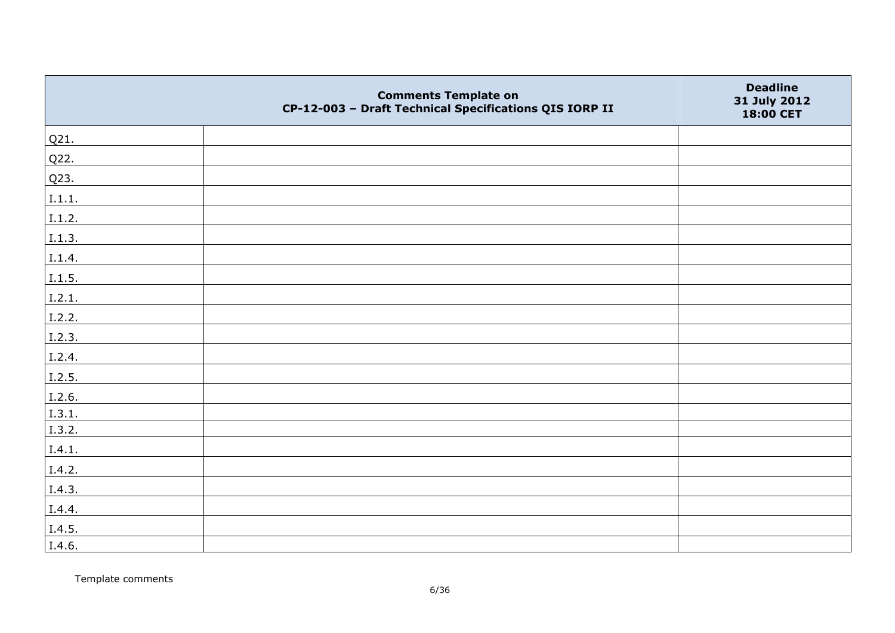|        | <b>Comments Template on</b><br>CP-12-003 - Draft Technical Specifications QIS IORP II | <b>Deadline</b><br>31 July 2012<br>18:00 CET |
|--------|---------------------------------------------------------------------------------------|----------------------------------------------|
| Q21.   |                                                                                       |                                              |
| Q22.   |                                                                                       |                                              |
| Q23.   |                                                                                       |                                              |
| I.1.1. |                                                                                       |                                              |
| I.1.2. |                                                                                       |                                              |
| I.1.3. |                                                                                       |                                              |
| I.1.4. |                                                                                       |                                              |
| I.1.5. |                                                                                       |                                              |
| I.2.1. |                                                                                       |                                              |
| I.2.2. |                                                                                       |                                              |
| I.2.3. |                                                                                       |                                              |
| I.2.4. |                                                                                       |                                              |
| I.2.5. |                                                                                       |                                              |
| I.2.6. |                                                                                       |                                              |
| I.3.1. |                                                                                       |                                              |
| I.3.2. |                                                                                       |                                              |
| I.4.1. |                                                                                       |                                              |
| I.4.2. |                                                                                       |                                              |
| I.4.3. |                                                                                       |                                              |
| I.4.4. |                                                                                       |                                              |
| I.4.5. |                                                                                       |                                              |
| I.4.6. |                                                                                       |                                              |

Template comments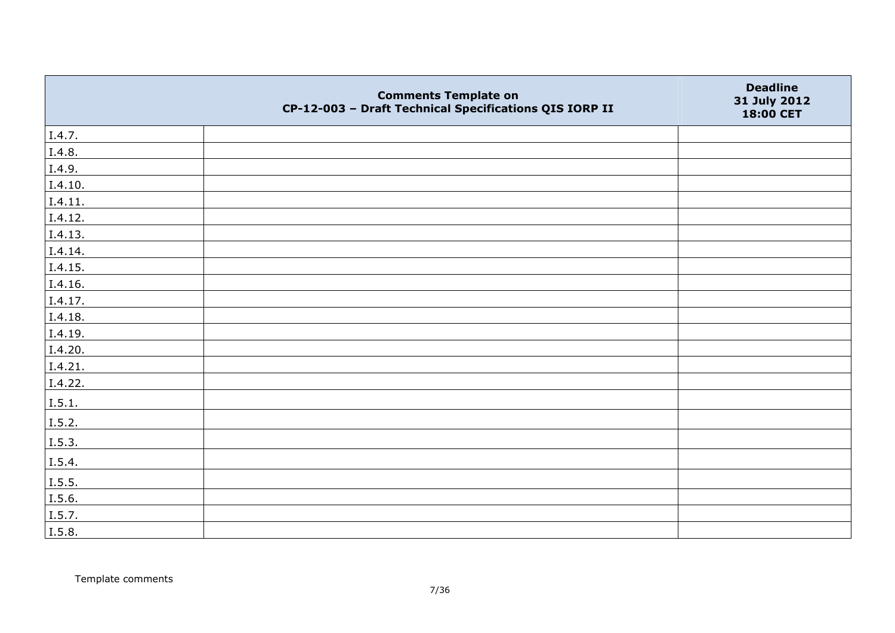|         | <b>Comments Template on</b><br>CP-12-003 - Draft Technical Specifications QIS IORP II | <b>Deadline</b><br>31 July 2012<br>18:00 CET |
|---------|---------------------------------------------------------------------------------------|----------------------------------------------|
| I.4.7.  |                                                                                       |                                              |
| I.4.8.  |                                                                                       |                                              |
| I.4.9.  |                                                                                       |                                              |
| I.4.10. |                                                                                       |                                              |
| I.4.11. |                                                                                       |                                              |
| I.4.12. |                                                                                       |                                              |
| I.4.13. |                                                                                       |                                              |
| I.4.14. |                                                                                       |                                              |
| I.4.15. |                                                                                       |                                              |
| I.4.16. |                                                                                       |                                              |
| I.4.17. |                                                                                       |                                              |
| I.4.18. |                                                                                       |                                              |
| I.4.19. |                                                                                       |                                              |
| I.4.20. |                                                                                       |                                              |
| I.4.21. |                                                                                       |                                              |
| I.4.22. |                                                                                       |                                              |
| I.5.1.  |                                                                                       |                                              |
| I.5.2.  |                                                                                       |                                              |
| I.5.3.  |                                                                                       |                                              |
| I.5.4.  |                                                                                       |                                              |
| I.5.5.  |                                                                                       |                                              |
| I.5.6.  |                                                                                       |                                              |
| I.5.7.  |                                                                                       |                                              |
| I.5.8.  |                                                                                       |                                              |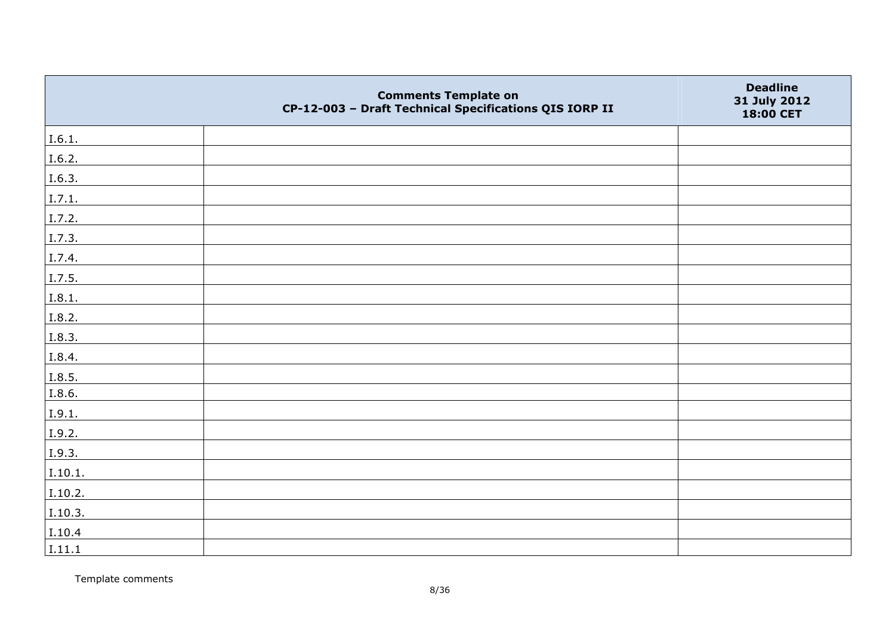|         | <b>Comments Template on</b><br>CP-12-003 - Draft Technical Specifications QIS IORP II | <b>Deadline</b><br>31 July 2012<br>18:00 CET |
|---------|---------------------------------------------------------------------------------------|----------------------------------------------|
| I.6.1.  |                                                                                       |                                              |
| I.6.2.  |                                                                                       |                                              |
| I.6.3.  |                                                                                       |                                              |
| I.7.1.  |                                                                                       |                                              |
| I.7.2.  |                                                                                       |                                              |
| I.7.3.  |                                                                                       |                                              |
| I.7.4.  |                                                                                       |                                              |
| I.7.5.  |                                                                                       |                                              |
| I.8.1.  |                                                                                       |                                              |
| I.8.2.  |                                                                                       |                                              |
| I.8.3.  |                                                                                       |                                              |
| I.8.4.  |                                                                                       |                                              |
| I.8.5.  |                                                                                       |                                              |
| I.8.6.  |                                                                                       |                                              |
| I.9.1.  |                                                                                       |                                              |
| I.9.2.  |                                                                                       |                                              |
| I.9.3.  |                                                                                       |                                              |
| I.10.1. |                                                                                       |                                              |
| I.10.2. |                                                                                       |                                              |
| I.10.3. |                                                                                       |                                              |
| I.10.4  |                                                                                       |                                              |
| I.11.1  |                                                                                       |                                              |

Template comments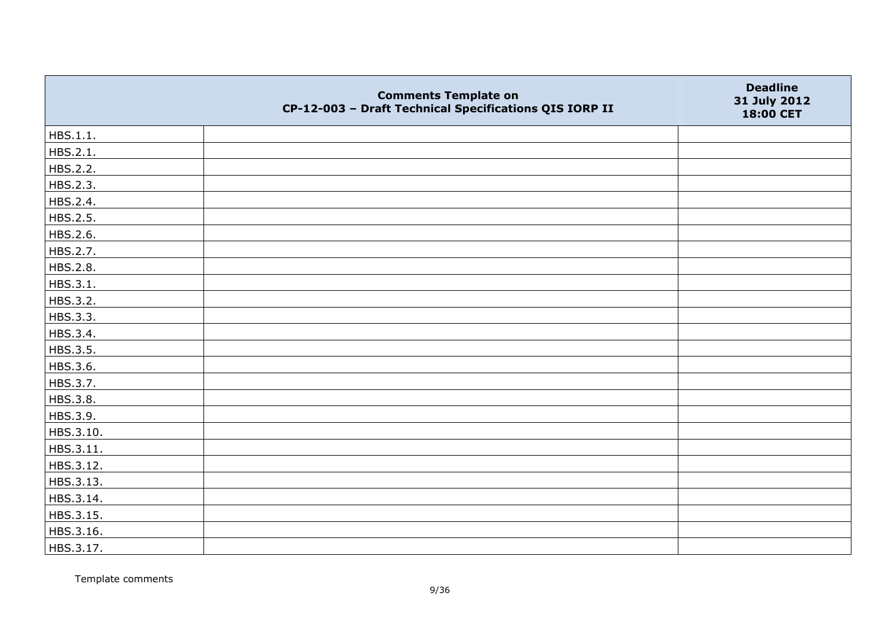|           | <b>Comments Template on</b><br>CP-12-003 - Draft Technical Specifications QIS IORP II | <b>Deadline</b><br>31 July 2012<br>18:00 CET |
|-----------|---------------------------------------------------------------------------------------|----------------------------------------------|
| HBS.1.1.  |                                                                                       |                                              |
| HBS.2.1.  |                                                                                       |                                              |
| HBS.2.2.  |                                                                                       |                                              |
| HBS.2.3.  |                                                                                       |                                              |
| HBS.2.4.  |                                                                                       |                                              |
| HBS.2.5.  |                                                                                       |                                              |
| HBS.2.6.  |                                                                                       |                                              |
| HBS.2.7.  |                                                                                       |                                              |
| HBS.2.8.  |                                                                                       |                                              |
| HBS.3.1.  |                                                                                       |                                              |
| HBS.3.2.  |                                                                                       |                                              |
| HBS.3.3.  |                                                                                       |                                              |
| HBS.3.4.  |                                                                                       |                                              |
| HBS.3.5.  |                                                                                       |                                              |
| HBS.3.6.  |                                                                                       |                                              |
| HBS.3.7.  |                                                                                       |                                              |
| HBS.3.8.  |                                                                                       |                                              |
| HBS.3.9.  |                                                                                       |                                              |
| HBS.3.10. |                                                                                       |                                              |
| HBS.3.11. |                                                                                       |                                              |
| HBS.3.12. |                                                                                       |                                              |
| HBS.3.13. |                                                                                       |                                              |
| HBS.3.14. |                                                                                       |                                              |
| HBS.3.15. |                                                                                       |                                              |
| HBS.3.16. |                                                                                       |                                              |
| HBS.3.17. |                                                                                       |                                              |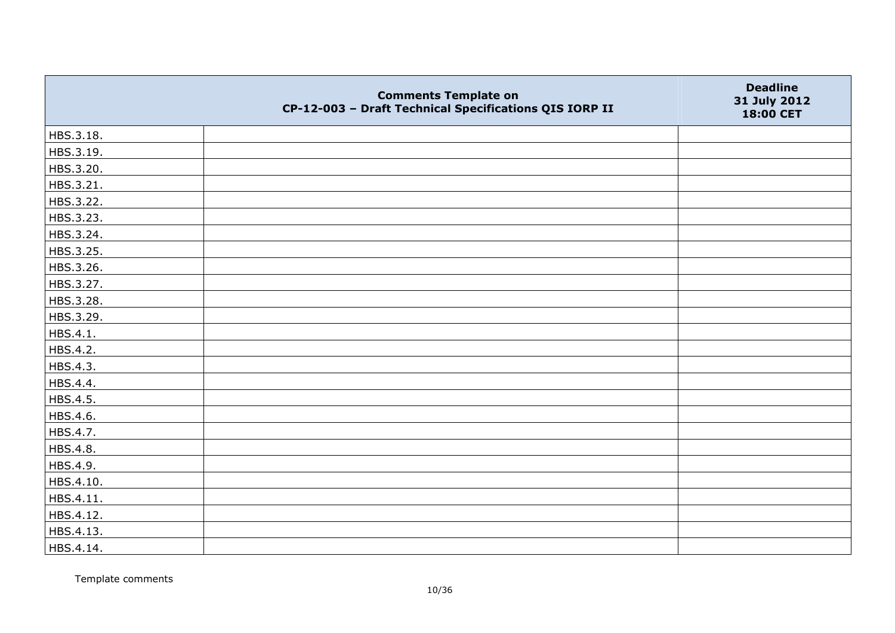|           | <b>Comments Template on</b><br>CP-12-003 - Draft Technical Specifications QIS IORP II | <b>Deadline</b><br>31 July 2012<br>18:00 CET |
|-----------|---------------------------------------------------------------------------------------|----------------------------------------------|
| HBS.3.18. |                                                                                       |                                              |
| HBS.3.19. |                                                                                       |                                              |
| HBS.3.20. |                                                                                       |                                              |
| HBS.3.21. |                                                                                       |                                              |
| HBS.3.22. |                                                                                       |                                              |
| HBS.3.23. |                                                                                       |                                              |
| HBS.3.24. |                                                                                       |                                              |
| HBS.3.25. |                                                                                       |                                              |
| HBS.3.26. |                                                                                       |                                              |
| HBS.3.27. |                                                                                       |                                              |
| HBS.3.28. |                                                                                       |                                              |
| HBS.3.29. |                                                                                       |                                              |
| HBS.4.1.  |                                                                                       |                                              |
| HBS.4.2.  |                                                                                       |                                              |
| HBS.4.3.  |                                                                                       |                                              |
| HBS.4.4.  |                                                                                       |                                              |
| HBS.4.5.  |                                                                                       |                                              |
| HBS.4.6.  |                                                                                       |                                              |
| HBS.4.7.  |                                                                                       |                                              |
| HBS.4.8.  |                                                                                       |                                              |
| HBS.4.9.  |                                                                                       |                                              |
| HBS.4.10. |                                                                                       |                                              |
| HBS.4.11. |                                                                                       |                                              |
| HBS.4.12. |                                                                                       |                                              |
| HBS.4.13. |                                                                                       |                                              |
| HBS.4.14. |                                                                                       |                                              |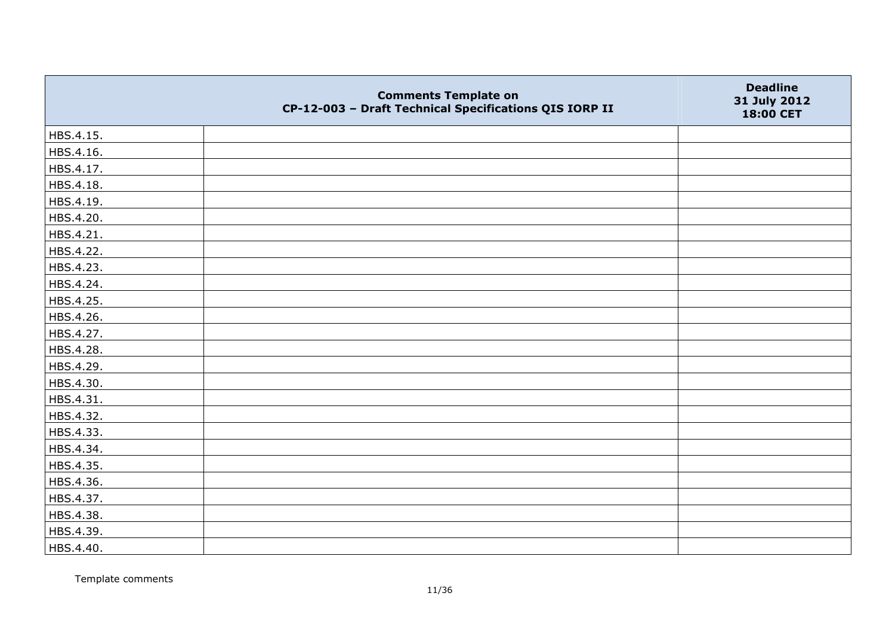|           | <b>Comments Template on</b><br>CP-12-003 - Draft Technical Specifications QIS IORP II | <b>Deadline</b><br>31 July 2012<br>18:00 CET |
|-----------|---------------------------------------------------------------------------------------|----------------------------------------------|
| HBS.4.15. |                                                                                       |                                              |
| HBS.4.16. |                                                                                       |                                              |
| HBS.4.17. |                                                                                       |                                              |
| HBS.4.18. |                                                                                       |                                              |
| HBS.4.19. |                                                                                       |                                              |
| HBS.4.20. |                                                                                       |                                              |
| HBS.4.21. |                                                                                       |                                              |
| HBS.4.22. |                                                                                       |                                              |
| HBS.4.23. |                                                                                       |                                              |
| HBS.4.24. |                                                                                       |                                              |
| HBS.4.25. |                                                                                       |                                              |
| HBS.4.26. |                                                                                       |                                              |
| HBS.4.27. |                                                                                       |                                              |
| HBS.4.28. |                                                                                       |                                              |
| HBS.4.29. |                                                                                       |                                              |
| HBS.4.30. |                                                                                       |                                              |
| HBS.4.31. |                                                                                       |                                              |
| HBS.4.32. |                                                                                       |                                              |
| HBS.4.33. |                                                                                       |                                              |
| HBS.4.34. |                                                                                       |                                              |
| HBS.4.35. |                                                                                       |                                              |
| HBS.4.36. |                                                                                       |                                              |
| HBS.4.37. |                                                                                       |                                              |
| HBS.4.38. |                                                                                       |                                              |
| HBS.4.39. |                                                                                       |                                              |
| HBS.4.40. |                                                                                       |                                              |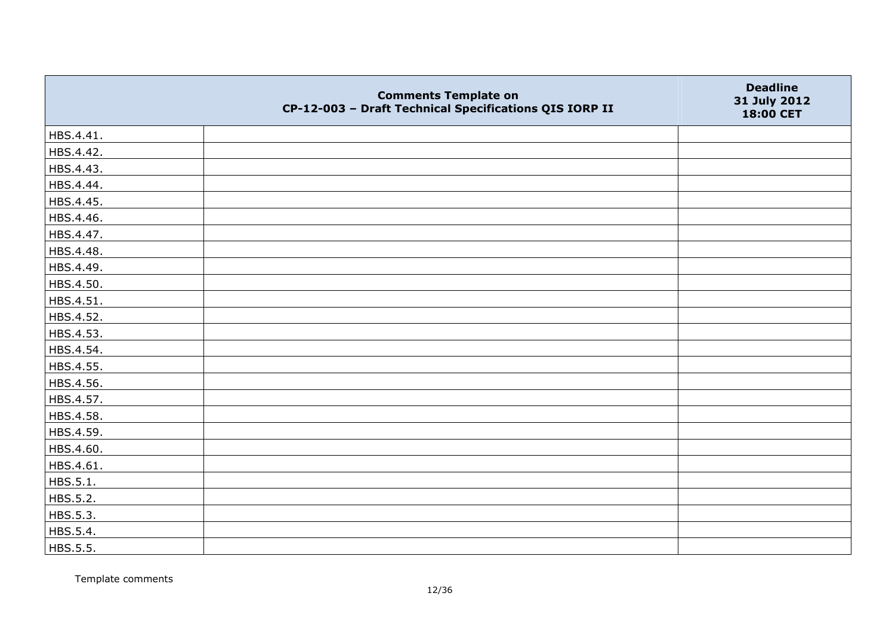|           | <b>Comments Template on</b><br>CP-12-003 - Draft Technical Specifications QIS IORP II | <b>Deadline</b><br>31 July 2012<br>18:00 CET |
|-----------|---------------------------------------------------------------------------------------|----------------------------------------------|
| HBS.4.41. |                                                                                       |                                              |
| HBS.4.42. |                                                                                       |                                              |
| HBS.4.43. |                                                                                       |                                              |
| HBS.4.44. |                                                                                       |                                              |
| HBS.4.45. |                                                                                       |                                              |
| HBS.4.46. |                                                                                       |                                              |
| HBS.4.47. |                                                                                       |                                              |
| HBS.4.48. |                                                                                       |                                              |
| HBS.4.49. |                                                                                       |                                              |
| HBS.4.50. |                                                                                       |                                              |
| HBS.4.51. |                                                                                       |                                              |
| HBS.4.52. |                                                                                       |                                              |
| HBS.4.53. |                                                                                       |                                              |
| HBS.4.54. |                                                                                       |                                              |
| HBS.4.55. |                                                                                       |                                              |
| HBS.4.56. |                                                                                       |                                              |
| HBS.4.57. |                                                                                       |                                              |
| HBS.4.58. |                                                                                       |                                              |
| HBS.4.59. |                                                                                       |                                              |
| HBS.4.60. |                                                                                       |                                              |
| HBS.4.61. |                                                                                       |                                              |
| HBS.5.1.  |                                                                                       |                                              |
| HBS.5.2.  |                                                                                       |                                              |
| HBS.5.3.  |                                                                                       |                                              |
| HBS.5.4.  |                                                                                       |                                              |
| HBS.5.5.  |                                                                                       |                                              |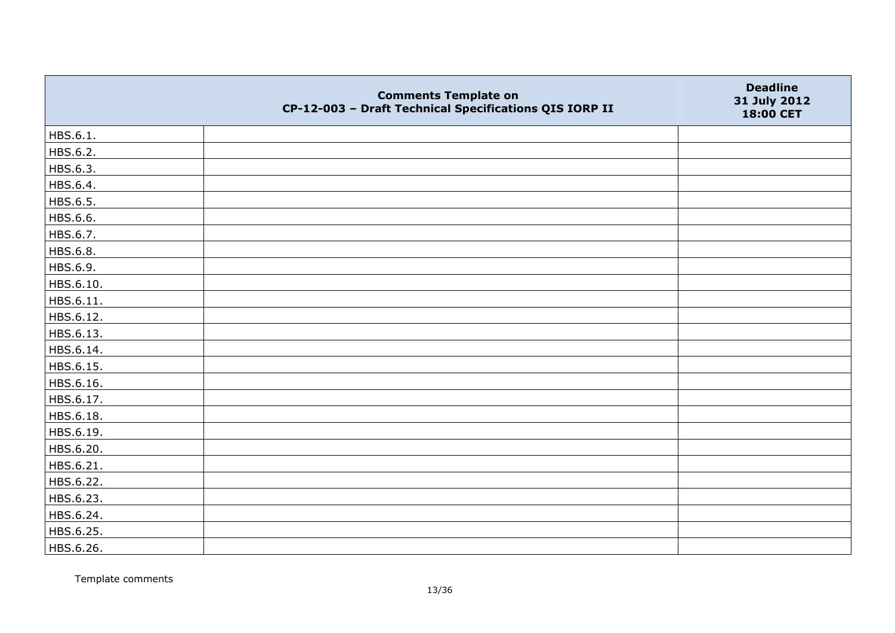|           | <b>Comments Template on</b><br>CP-12-003 - Draft Technical Specifications QIS IORP II | <b>Deadline</b><br>31 July 2012<br>18:00 CET |
|-----------|---------------------------------------------------------------------------------------|----------------------------------------------|
| HBS.6.1.  |                                                                                       |                                              |
| HBS.6.2.  |                                                                                       |                                              |
| HBS.6.3.  |                                                                                       |                                              |
| HBS.6.4.  |                                                                                       |                                              |
| HBS.6.5.  |                                                                                       |                                              |
| HBS.6.6.  |                                                                                       |                                              |
| HBS.6.7.  |                                                                                       |                                              |
| HBS.6.8.  |                                                                                       |                                              |
| HBS.6.9.  |                                                                                       |                                              |
| HBS.6.10. |                                                                                       |                                              |
| HBS.6.11. |                                                                                       |                                              |
| HBS.6.12. |                                                                                       |                                              |
| HBS.6.13. |                                                                                       |                                              |
| HBS.6.14. |                                                                                       |                                              |
| HBS.6.15. |                                                                                       |                                              |
| HBS.6.16. |                                                                                       |                                              |
| HBS.6.17. |                                                                                       |                                              |
| HBS.6.18. |                                                                                       |                                              |
| HBS.6.19. |                                                                                       |                                              |
| HBS.6.20. |                                                                                       |                                              |
| HBS.6.21. |                                                                                       |                                              |
| HBS.6.22. |                                                                                       |                                              |
| HBS.6.23. |                                                                                       |                                              |
| HBS.6.24. |                                                                                       |                                              |
| HBS.6.25. |                                                                                       |                                              |
| HBS.6.26. |                                                                                       |                                              |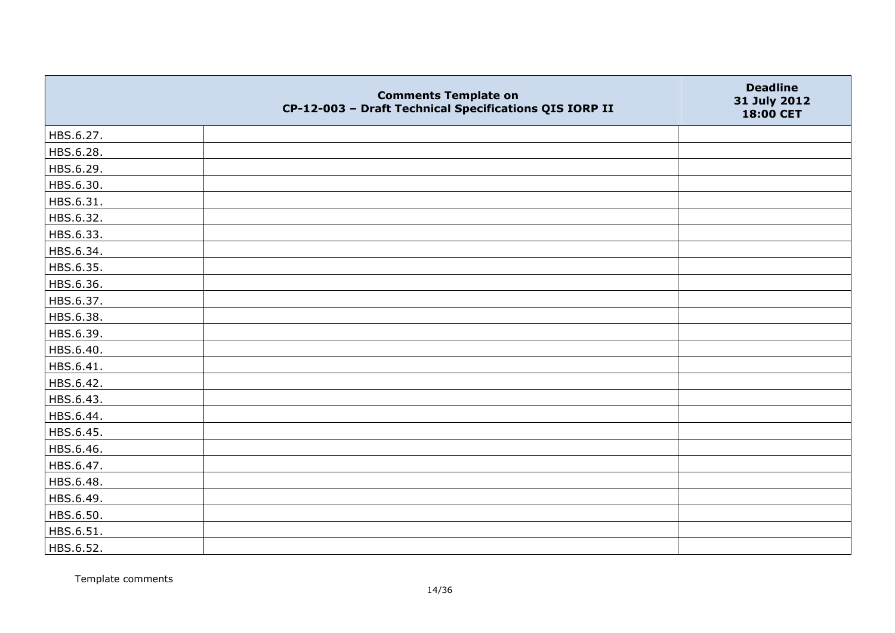|           | <b>Comments Template on</b><br>CP-12-003 - Draft Technical Specifications QIS IORP II | <b>Deadline</b><br>31 July 2012<br>18:00 CET |
|-----------|---------------------------------------------------------------------------------------|----------------------------------------------|
| HBS.6.27. |                                                                                       |                                              |
| HBS.6.28. |                                                                                       |                                              |
| HBS.6.29. |                                                                                       |                                              |
| HBS.6.30. |                                                                                       |                                              |
| HBS.6.31. |                                                                                       |                                              |
| HBS.6.32. |                                                                                       |                                              |
| HBS.6.33. |                                                                                       |                                              |
| HBS.6.34. |                                                                                       |                                              |
| HBS.6.35. |                                                                                       |                                              |
| HBS.6.36. |                                                                                       |                                              |
| HBS.6.37. |                                                                                       |                                              |
| HBS.6.38. |                                                                                       |                                              |
| HBS.6.39. |                                                                                       |                                              |
| HBS.6.40. |                                                                                       |                                              |
| HBS.6.41. |                                                                                       |                                              |
| HBS.6.42. |                                                                                       |                                              |
| HBS.6.43. |                                                                                       |                                              |
| HBS.6.44. |                                                                                       |                                              |
| HBS.6.45. |                                                                                       |                                              |
| HBS.6.46. |                                                                                       |                                              |
| HBS.6.47. |                                                                                       |                                              |
| HBS.6.48. |                                                                                       |                                              |
| HBS.6.49. |                                                                                       |                                              |
| HBS.6.50. |                                                                                       |                                              |
| HBS.6.51. |                                                                                       |                                              |
| HBS.6.52. |                                                                                       |                                              |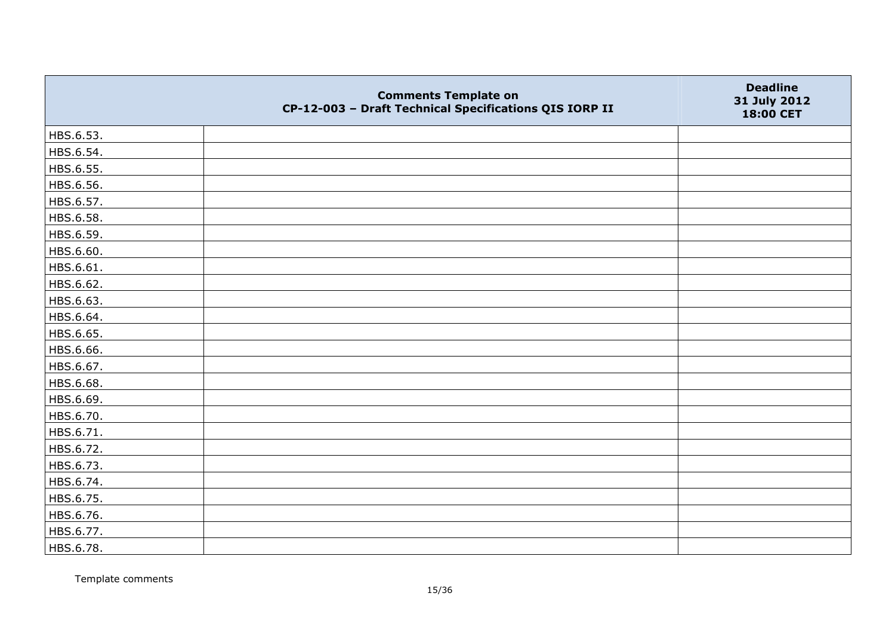|           | <b>Comments Template on</b><br>CP-12-003 - Draft Technical Specifications QIS IORP II | <b>Deadline</b><br>31 July 2012<br>18:00 CET |
|-----------|---------------------------------------------------------------------------------------|----------------------------------------------|
| HBS.6.53. |                                                                                       |                                              |
| HBS.6.54. |                                                                                       |                                              |
| HBS.6.55. |                                                                                       |                                              |
| HBS.6.56. |                                                                                       |                                              |
| HBS.6.57. |                                                                                       |                                              |
| HBS.6.58. |                                                                                       |                                              |
| HBS.6.59. |                                                                                       |                                              |
| HBS.6.60. |                                                                                       |                                              |
| HBS.6.61. |                                                                                       |                                              |
| HBS.6.62. |                                                                                       |                                              |
| HBS.6.63. |                                                                                       |                                              |
| HBS.6.64. |                                                                                       |                                              |
| HBS.6.65. |                                                                                       |                                              |
| HBS.6.66. |                                                                                       |                                              |
| HBS.6.67. |                                                                                       |                                              |
| HBS.6.68. |                                                                                       |                                              |
| HBS.6.69. |                                                                                       |                                              |
| HBS.6.70. |                                                                                       |                                              |
| HBS.6.71. |                                                                                       |                                              |
| HBS.6.72. |                                                                                       |                                              |
| HBS.6.73. |                                                                                       |                                              |
| HBS.6.74. |                                                                                       |                                              |
| HBS.6.75. |                                                                                       |                                              |
| HBS.6.76. |                                                                                       |                                              |
| HBS.6.77. |                                                                                       |                                              |
| HBS.6.78. |                                                                                       |                                              |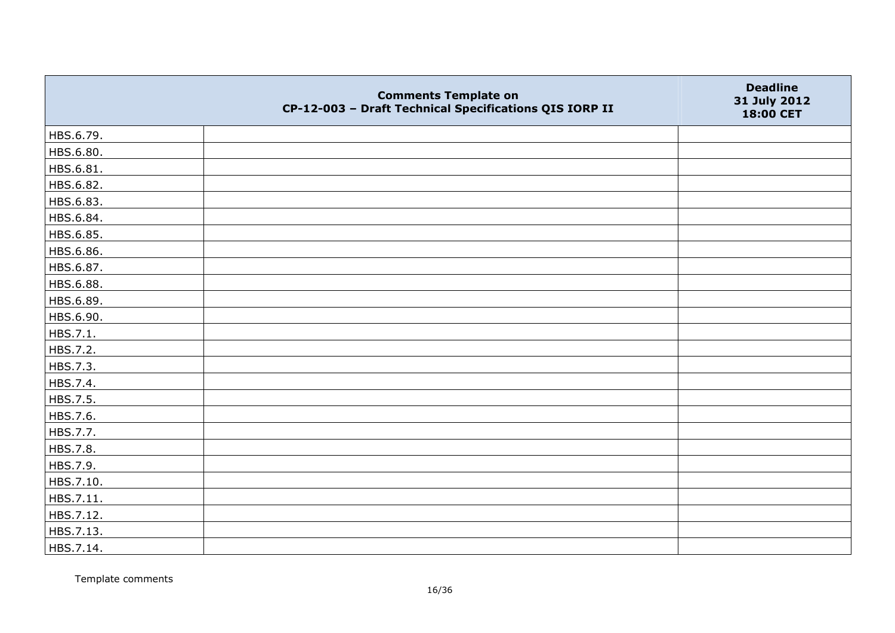|           | <b>Comments Template on</b><br>CP-12-003 - Draft Technical Specifications QIS IORP II | <b>Deadline</b><br>31 July 2012<br>18:00 CET |
|-----------|---------------------------------------------------------------------------------------|----------------------------------------------|
| HBS.6.79. |                                                                                       |                                              |
| HBS.6.80. |                                                                                       |                                              |
| HBS.6.81. |                                                                                       |                                              |
| HBS.6.82. |                                                                                       |                                              |
| HBS.6.83. |                                                                                       |                                              |
| HBS.6.84. |                                                                                       |                                              |
| HBS.6.85. |                                                                                       |                                              |
| HBS.6.86. |                                                                                       |                                              |
| HBS.6.87. |                                                                                       |                                              |
| HBS.6.88. |                                                                                       |                                              |
| HBS.6.89. |                                                                                       |                                              |
| HBS.6.90. |                                                                                       |                                              |
| HBS.7.1.  |                                                                                       |                                              |
| HBS.7.2.  |                                                                                       |                                              |
| HBS.7.3.  |                                                                                       |                                              |
| HBS.7.4.  |                                                                                       |                                              |
| HBS.7.5.  |                                                                                       |                                              |
| HBS.7.6.  |                                                                                       |                                              |
| HBS.7.7.  |                                                                                       |                                              |
| HBS.7.8.  |                                                                                       |                                              |
| HBS.7.9.  |                                                                                       |                                              |
| HBS.7.10. |                                                                                       |                                              |
| HBS.7.11. |                                                                                       |                                              |
| HBS.7.12. |                                                                                       |                                              |
| HBS.7.13. |                                                                                       |                                              |
| HBS.7.14. |                                                                                       |                                              |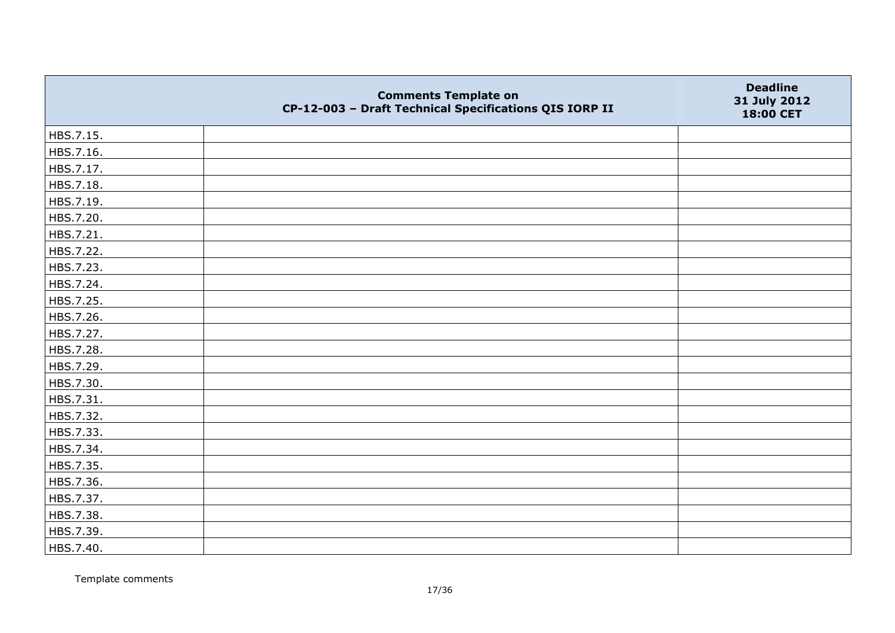|           | <b>Comments Template on</b><br>CP-12-003 - Draft Technical Specifications QIS IORP II | <b>Deadline</b><br>31 July 2012<br>18:00 CET |
|-----------|---------------------------------------------------------------------------------------|----------------------------------------------|
| HBS.7.15. |                                                                                       |                                              |
| HBS.7.16. |                                                                                       |                                              |
| HBS.7.17. |                                                                                       |                                              |
| HBS.7.18. |                                                                                       |                                              |
| HBS.7.19. |                                                                                       |                                              |
| HBS.7.20. |                                                                                       |                                              |
| HBS.7.21. |                                                                                       |                                              |
| HBS.7.22. |                                                                                       |                                              |
| HBS.7.23. |                                                                                       |                                              |
| HBS.7.24. |                                                                                       |                                              |
| HBS.7.25. |                                                                                       |                                              |
| HBS.7.26. |                                                                                       |                                              |
| HBS.7.27. |                                                                                       |                                              |
| HBS.7.28. |                                                                                       |                                              |
| HBS.7.29. |                                                                                       |                                              |
| HBS.7.30. |                                                                                       |                                              |
| HBS.7.31. |                                                                                       |                                              |
| HBS.7.32. |                                                                                       |                                              |
| HBS.7.33. |                                                                                       |                                              |
| HBS.7.34. |                                                                                       |                                              |
| HBS.7.35. |                                                                                       |                                              |
| HBS.7.36. |                                                                                       |                                              |
| HBS.7.37. |                                                                                       |                                              |
| HBS.7.38. |                                                                                       |                                              |
| HBS.7.39. |                                                                                       |                                              |
| HBS.7.40. |                                                                                       |                                              |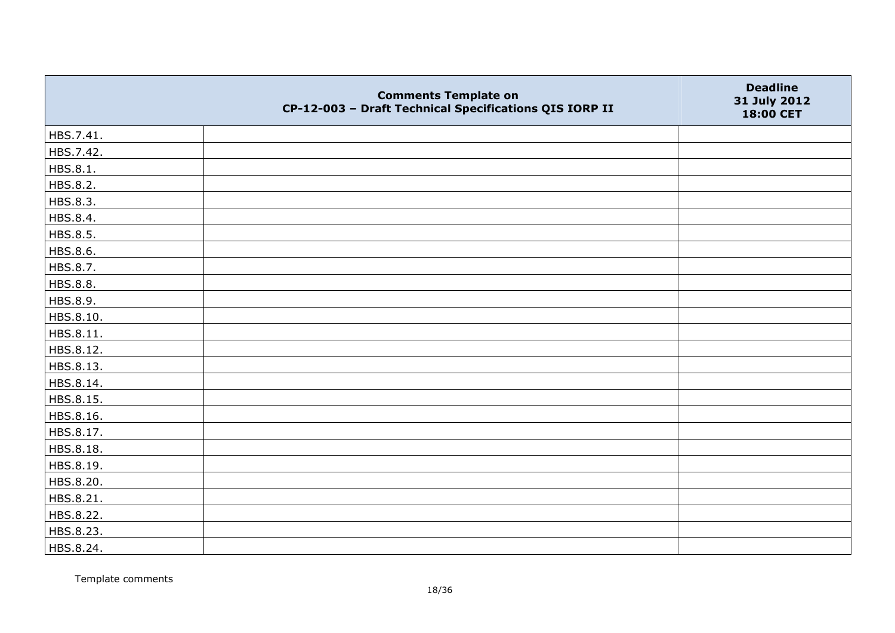|           | <b>Comments Template on</b><br>CP-12-003 - Draft Technical Specifications QIS IORP II | <b>Deadline</b><br>31 July 2012<br>18:00 CET |
|-----------|---------------------------------------------------------------------------------------|----------------------------------------------|
| HBS.7.41. |                                                                                       |                                              |
| HBS.7.42. |                                                                                       |                                              |
| HBS.8.1.  |                                                                                       |                                              |
| HBS.8.2.  |                                                                                       |                                              |
| HBS.8.3.  |                                                                                       |                                              |
| HBS.8.4.  |                                                                                       |                                              |
| HBS.8.5.  |                                                                                       |                                              |
| HBS.8.6.  |                                                                                       |                                              |
| HBS.8.7.  |                                                                                       |                                              |
| HBS.8.8.  |                                                                                       |                                              |
| HBS.8.9.  |                                                                                       |                                              |
| HBS.8.10. |                                                                                       |                                              |
| HBS.8.11. |                                                                                       |                                              |
| HBS.8.12. |                                                                                       |                                              |
| HBS.8.13. |                                                                                       |                                              |
| HBS.8.14. |                                                                                       |                                              |
| HBS.8.15. |                                                                                       |                                              |
| HBS.8.16. |                                                                                       |                                              |
| HBS.8.17. |                                                                                       |                                              |
| HBS.8.18. |                                                                                       |                                              |
| HBS.8.19. |                                                                                       |                                              |
| HBS.8.20. |                                                                                       |                                              |
| HBS.8.21. |                                                                                       |                                              |
| HBS.8.22. |                                                                                       |                                              |
| HBS.8.23. |                                                                                       |                                              |
| HBS.8.24. |                                                                                       |                                              |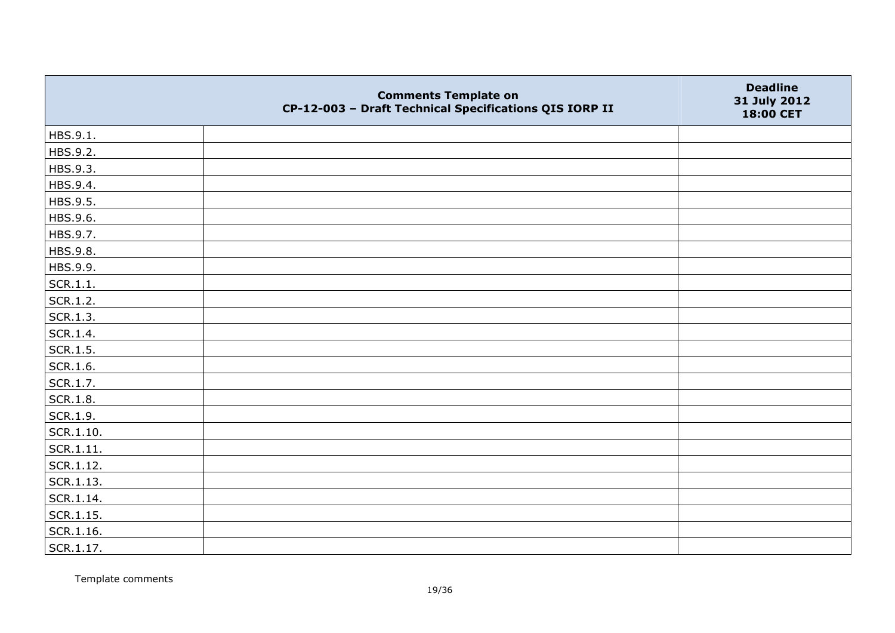|                   | <b>Comments Template on</b><br>CP-12-003 - Draft Technical Specifications QIS IORP II | <b>Deadline</b><br>31 July 2012<br>18:00 CET |
|-------------------|---------------------------------------------------------------------------------------|----------------------------------------------|
| HBS.9.1.          |                                                                                       |                                              |
| HBS.9.2.          |                                                                                       |                                              |
| HBS.9.3.          |                                                                                       |                                              |
| HBS.9.4.          |                                                                                       |                                              |
| HBS.9.5.          |                                                                                       |                                              |
| HBS.9.6.          |                                                                                       |                                              |
| HBS.9.7.          |                                                                                       |                                              |
| HBS.9.8.          |                                                                                       |                                              |
| HBS.9.9.          |                                                                                       |                                              |
| SCR.1.1.          |                                                                                       |                                              |
| SCR.1.2.          |                                                                                       |                                              |
| SCR.1.3.          |                                                                                       |                                              |
| SCR.1.4.          |                                                                                       |                                              |
| SCR.1.5.          |                                                                                       |                                              |
| SCR.1.6.          |                                                                                       |                                              |
| SCR.1.7.          |                                                                                       |                                              |
| SCR.1.8.          |                                                                                       |                                              |
| SCR.1.9.          |                                                                                       |                                              |
| SCR.1.10.         |                                                                                       |                                              |
| SCR.1.11.         |                                                                                       |                                              |
| SCR.1.12.         |                                                                                       |                                              |
| SCR.1.13.         |                                                                                       |                                              |
| SCR.1.14.         |                                                                                       |                                              |
| $\vert$ SCR.1.15. |                                                                                       |                                              |
| SCR.1.16.         |                                                                                       |                                              |
| SCR.1.17.         |                                                                                       |                                              |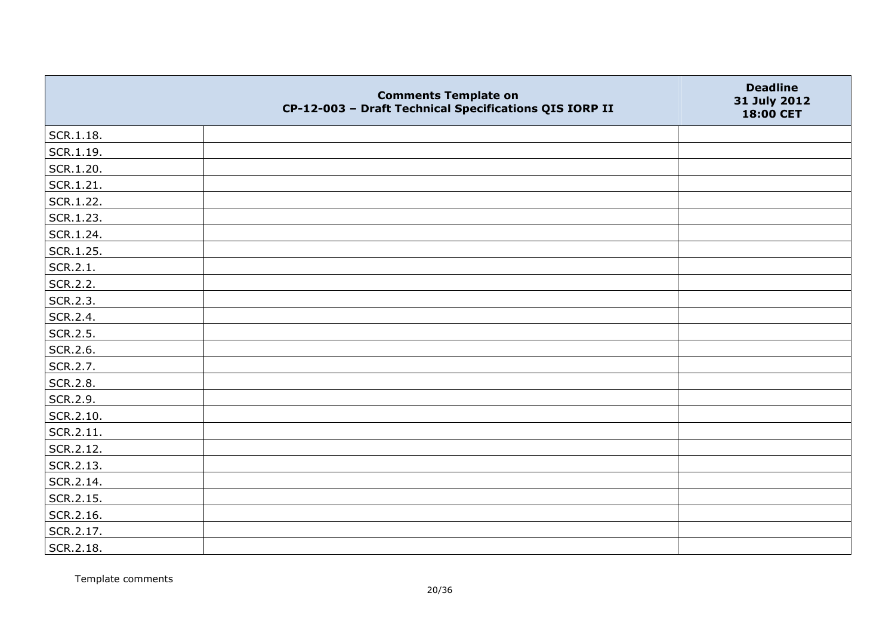|           | <b>Comments Template on</b><br>CP-12-003 - Draft Technical Specifications QIS IORP II | <b>Deadline</b><br>31 July 2012<br>18:00 CET |
|-----------|---------------------------------------------------------------------------------------|----------------------------------------------|
| SCR.1.18. |                                                                                       |                                              |
| SCR.1.19. |                                                                                       |                                              |
| SCR.1.20. |                                                                                       |                                              |
| SCR.1.21. |                                                                                       |                                              |
| SCR.1.22. |                                                                                       |                                              |
| SCR.1.23. |                                                                                       |                                              |
| SCR.1.24. |                                                                                       |                                              |
| SCR.1.25. |                                                                                       |                                              |
| SCR.2.1.  |                                                                                       |                                              |
| SCR.2.2.  |                                                                                       |                                              |
| SCR.2.3.  |                                                                                       |                                              |
| SCR.2.4.  |                                                                                       |                                              |
| SCR.2.5.  |                                                                                       |                                              |
| SCR.2.6.  |                                                                                       |                                              |
| SCR.2.7.  |                                                                                       |                                              |
| SCR.2.8.  |                                                                                       |                                              |
| SCR.2.9.  |                                                                                       |                                              |
| SCR.2.10. |                                                                                       |                                              |
| SCR.2.11. |                                                                                       |                                              |
| SCR.2.12. |                                                                                       |                                              |
| SCR.2.13. |                                                                                       |                                              |
| SCR.2.14. |                                                                                       |                                              |
| SCR.2.15. |                                                                                       |                                              |
| SCR.2.16. |                                                                                       |                                              |
| SCR.2.17. |                                                                                       |                                              |
| SCR.2.18. |                                                                                       |                                              |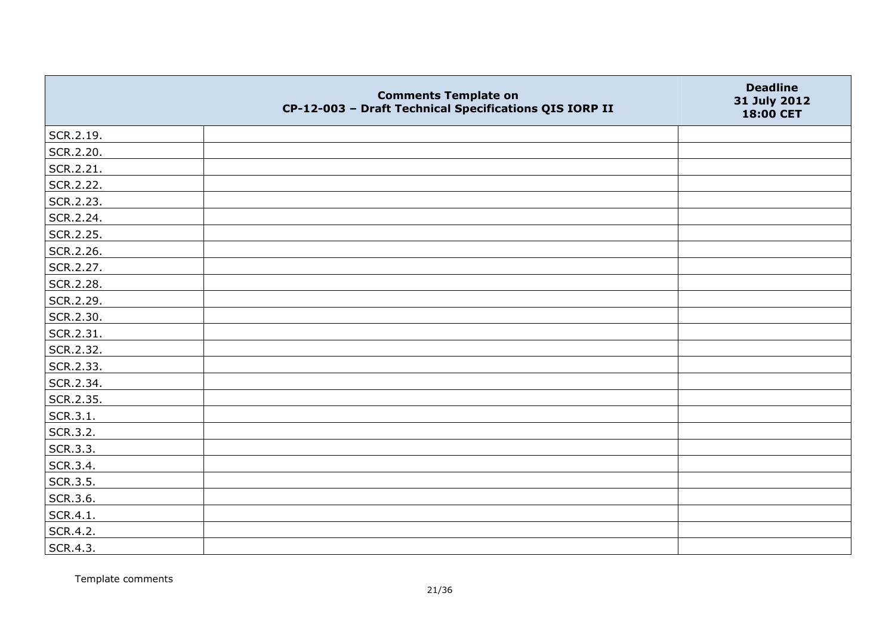|           | <b>Comments Template on</b><br>CP-12-003 - Draft Technical Specifications QIS IORP II | <b>Deadline</b><br>31 July 2012<br>18:00 CET |
|-----------|---------------------------------------------------------------------------------------|----------------------------------------------|
| SCR.2.19. |                                                                                       |                                              |
| SCR.2.20. |                                                                                       |                                              |
| SCR.2.21. |                                                                                       |                                              |
| SCR.2.22. |                                                                                       |                                              |
| SCR.2.23. |                                                                                       |                                              |
| SCR.2.24. |                                                                                       |                                              |
| SCR.2.25. |                                                                                       |                                              |
| SCR.2.26. |                                                                                       |                                              |
| SCR.2.27. |                                                                                       |                                              |
| SCR.2.28. |                                                                                       |                                              |
| SCR.2.29. |                                                                                       |                                              |
| SCR.2.30. |                                                                                       |                                              |
| SCR.2.31. |                                                                                       |                                              |
| SCR.2.32. |                                                                                       |                                              |
| SCR.2.33. |                                                                                       |                                              |
| SCR.2.34. |                                                                                       |                                              |
| SCR.2.35. |                                                                                       |                                              |
| SCR.3.1.  |                                                                                       |                                              |
| SCR.3.2.  |                                                                                       |                                              |
| SCR.3.3.  |                                                                                       |                                              |
| SCR.3.4.  |                                                                                       |                                              |
| SCR.3.5.  |                                                                                       |                                              |
| SCR.3.6.  |                                                                                       |                                              |
| SCR.4.1.  |                                                                                       |                                              |
| SCR.4.2.  |                                                                                       |                                              |
| SCR.4.3.  |                                                                                       |                                              |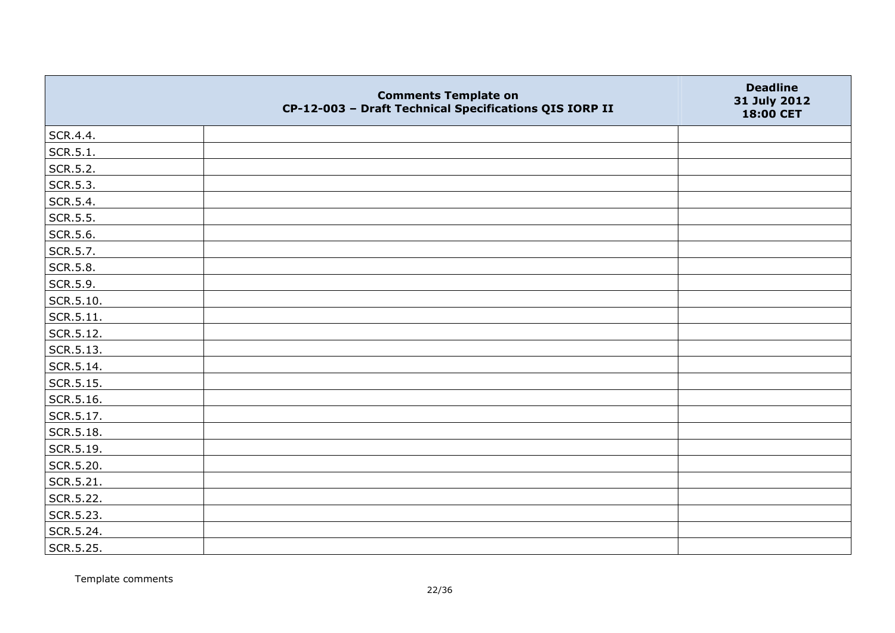|           | <b>Comments Template on</b><br>CP-12-003 - Draft Technical Specifications QIS IORP II | <b>Deadline</b><br>31 July 2012<br>18:00 CET |
|-----------|---------------------------------------------------------------------------------------|----------------------------------------------|
| SCR.4.4.  |                                                                                       |                                              |
| SCR.5.1.  |                                                                                       |                                              |
| SCR.5.2.  |                                                                                       |                                              |
| SCR.5.3.  |                                                                                       |                                              |
| SCR.5.4.  |                                                                                       |                                              |
| SCR.5.5.  |                                                                                       |                                              |
| SCR.5.6.  |                                                                                       |                                              |
| SCR.5.7.  |                                                                                       |                                              |
| SCR.5.8.  |                                                                                       |                                              |
| SCR.5.9.  |                                                                                       |                                              |
| SCR.5.10. |                                                                                       |                                              |
| SCR.5.11. |                                                                                       |                                              |
| SCR.5.12. |                                                                                       |                                              |
| SCR.5.13. |                                                                                       |                                              |
| SCR.5.14. |                                                                                       |                                              |
| SCR.5.15. |                                                                                       |                                              |
| SCR.5.16. |                                                                                       |                                              |
| SCR.5.17. |                                                                                       |                                              |
| SCR.5.18. |                                                                                       |                                              |
| SCR.5.19. |                                                                                       |                                              |
| SCR.5.20. |                                                                                       |                                              |
| SCR.5.21. |                                                                                       |                                              |
| SCR.5.22. |                                                                                       |                                              |
| SCR.5.23. |                                                                                       |                                              |
| SCR.5.24. |                                                                                       |                                              |
| SCR.5.25. |                                                                                       |                                              |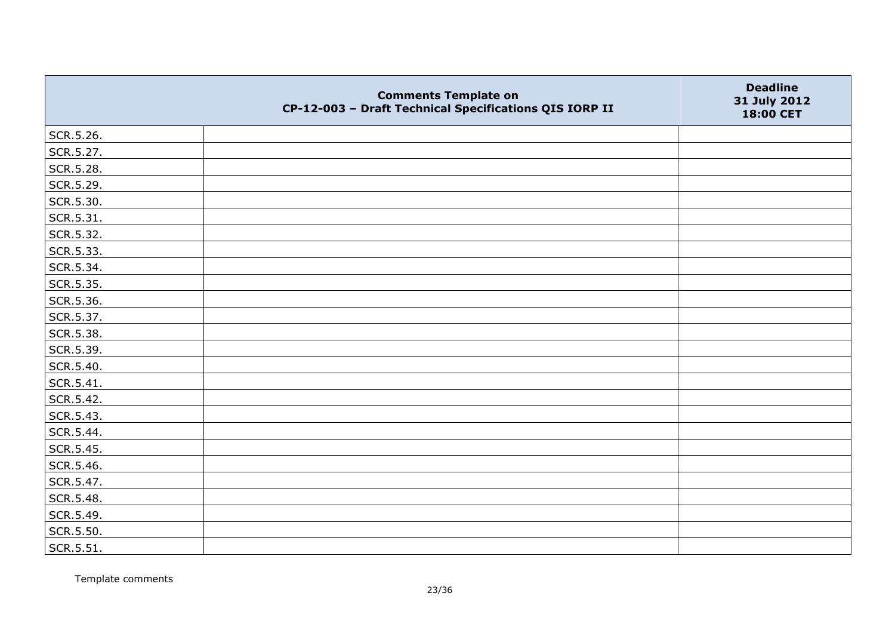|                   | <b>Comments Template on</b><br>CP-12-003 - Draft Technical Specifications QIS IORP II | <b>Deadline</b><br>31 July 2012<br>18:00 CET |
|-------------------|---------------------------------------------------------------------------------------|----------------------------------------------|
| SCR.5.26.         |                                                                                       |                                              |
| SCR.5.27.         |                                                                                       |                                              |
| SCR.5.28.         |                                                                                       |                                              |
| SCR.5.29.         |                                                                                       |                                              |
| SCR.5.30.         |                                                                                       |                                              |
| $\vert$ SCR.5.31. |                                                                                       |                                              |
| SCR.5.32.         |                                                                                       |                                              |
| SCR.5.33.         |                                                                                       |                                              |
| SCR.5.34.         |                                                                                       |                                              |
| SCR.5.35.         |                                                                                       |                                              |
| SCR.5.36.         |                                                                                       |                                              |
| SCR.5.37.         |                                                                                       |                                              |
| SCR.5.38.         |                                                                                       |                                              |
| SCR.5.39.         |                                                                                       |                                              |
| SCR.5.40.         |                                                                                       |                                              |
| SCR.5.41.         |                                                                                       |                                              |
| SCR.5.42.         |                                                                                       |                                              |
| SCR.5.43.         |                                                                                       |                                              |
| SCR.5.44.         |                                                                                       |                                              |
| SCR.5.45.         |                                                                                       |                                              |
| SCR.5.46.         |                                                                                       |                                              |
| SCR.5.47.         |                                                                                       |                                              |
| SCR.5.48.         |                                                                                       |                                              |
| SCR.5.49.         |                                                                                       |                                              |
| SCR.5.50.         |                                                                                       |                                              |
| SCR.5.51.         |                                                                                       |                                              |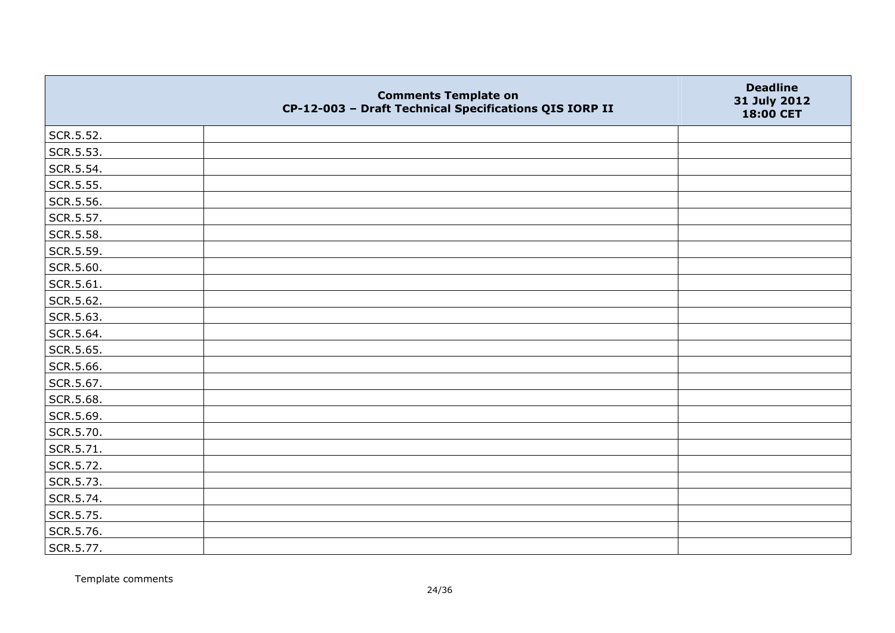|           | <b>Comments Template on</b><br>CP-12-003 - Draft Technical Specifications QIS IORP II | <b>Deadline</b><br>31 July 2012<br>18:00 CET |
|-----------|---------------------------------------------------------------------------------------|----------------------------------------------|
| SCR.5.52. |                                                                                       |                                              |
| SCR.5.53. |                                                                                       |                                              |
| SCR.5.54. |                                                                                       |                                              |
| SCR.5.55. |                                                                                       |                                              |
| SCR.5.56. |                                                                                       |                                              |
| SCR.5.57. |                                                                                       |                                              |
| SCR.5.58. |                                                                                       |                                              |
| SCR.5.59. |                                                                                       |                                              |
| SCR.5.60. |                                                                                       |                                              |
| SCR.5.61. |                                                                                       |                                              |
| SCR.5.62. |                                                                                       |                                              |
| SCR.5.63. |                                                                                       |                                              |
| SCR.5.64. |                                                                                       |                                              |
| SCR.5.65. |                                                                                       |                                              |
| SCR.5.66. |                                                                                       |                                              |
| SCR.5.67. |                                                                                       |                                              |
| SCR.5.68. |                                                                                       |                                              |
| SCR.5.69. |                                                                                       |                                              |
| SCR.5.70. |                                                                                       |                                              |
| SCR.5.71. |                                                                                       |                                              |
| SCR.5.72. |                                                                                       |                                              |
| SCR.5.73. |                                                                                       |                                              |
| SCR.5.74. |                                                                                       |                                              |
| SCR.5.75. |                                                                                       |                                              |
| SCR.5.76. |                                                                                       |                                              |
| SCR.5.77. |                                                                                       |                                              |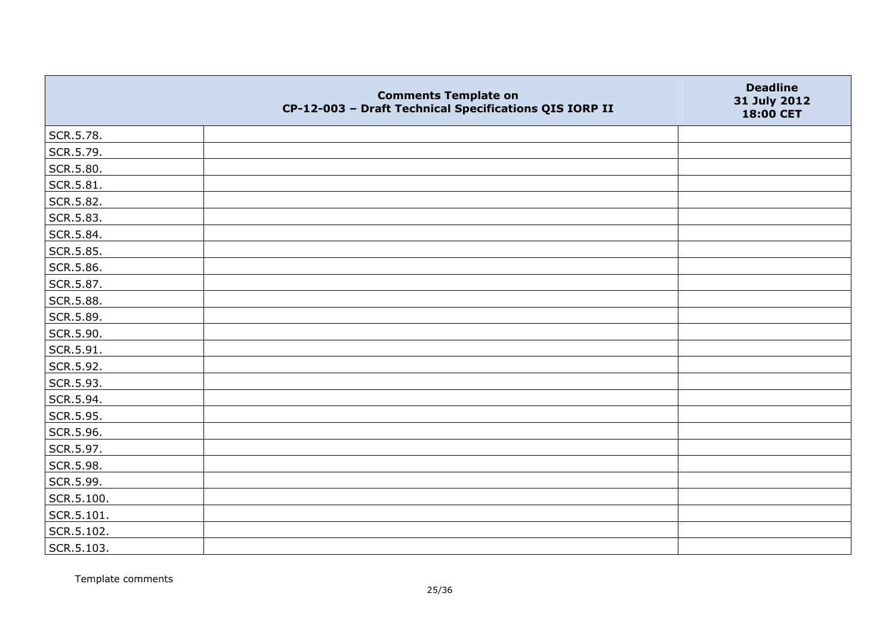|            | <b>Comments Template on</b><br>CP-12-003 - Draft Technical Specifications QIS IORP II | <b>Deadline</b><br>31 July 2012<br>18:00 CET |
|------------|---------------------------------------------------------------------------------------|----------------------------------------------|
| SCR.5.78.  |                                                                                       |                                              |
| SCR.5.79.  |                                                                                       |                                              |
| SCR.5.80.  |                                                                                       |                                              |
| SCR.5.81.  |                                                                                       |                                              |
| SCR.5.82.  |                                                                                       |                                              |
| SCR.5.83.  |                                                                                       |                                              |
| SCR.5.84.  |                                                                                       |                                              |
| SCR.5.85.  |                                                                                       |                                              |
| SCR.5.86.  |                                                                                       |                                              |
| SCR.5.87.  |                                                                                       |                                              |
| SCR.5.88.  |                                                                                       |                                              |
| SCR.5.89.  |                                                                                       |                                              |
| SCR.5.90.  |                                                                                       |                                              |
| SCR.5.91.  |                                                                                       |                                              |
| SCR.5.92.  |                                                                                       |                                              |
| SCR.5.93.  |                                                                                       |                                              |
| SCR.5.94.  |                                                                                       |                                              |
| SCR.5.95.  |                                                                                       |                                              |
| SCR.5.96.  |                                                                                       |                                              |
| SCR.5.97.  |                                                                                       |                                              |
| SCR.5.98.  |                                                                                       |                                              |
| SCR.5.99.  |                                                                                       |                                              |
| SCR.5.100. |                                                                                       |                                              |
| SCR.5.101. |                                                                                       |                                              |
| SCR.5.102. |                                                                                       |                                              |
| SCR.5.103. |                                                                                       |                                              |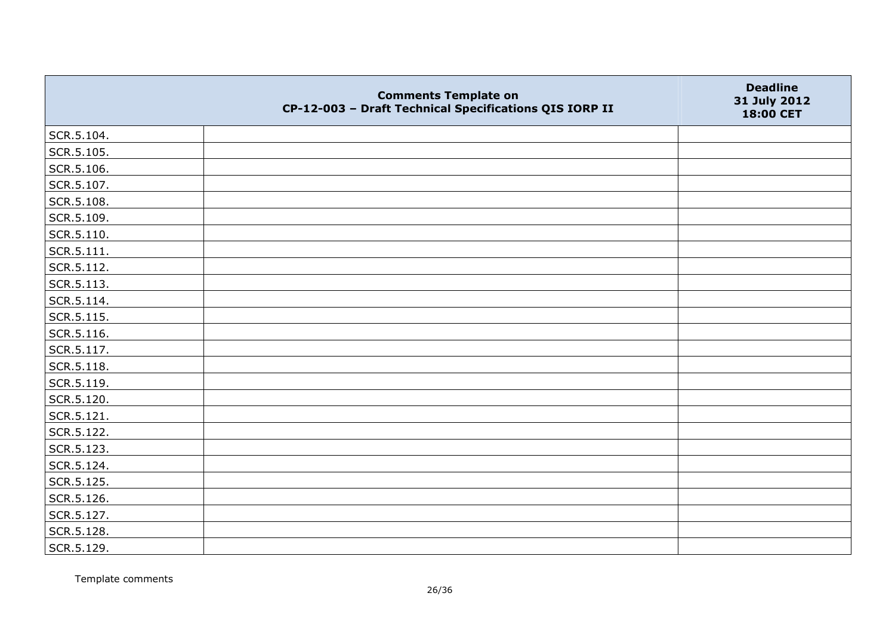|                | <b>Comments Template on</b><br>CP-12-003 - Draft Technical Specifications QIS IORP II | <b>Deadline</b><br>31 July 2012<br>18:00 CET |
|----------------|---------------------------------------------------------------------------------------|----------------------------------------------|
| SCR.5.104.     |                                                                                       |                                              |
| SCR.5.105.     |                                                                                       |                                              |
| SCR.5.106.     |                                                                                       |                                              |
| SCR.5.107.     |                                                                                       |                                              |
| SCR.5.108.     |                                                                                       |                                              |
| SCR.5.109.     |                                                                                       |                                              |
| SCR.5.110.     |                                                                                       |                                              |
| $ $ SCR.5.111. |                                                                                       |                                              |
| SCR.5.112.     |                                                                                       |                                              |
| SCR.5.113.     |                                                                                       |                                              |
| $ $ SCR.5.114. |                                                                                       |                                              |
| SCR.5.115.     |                                                                                       |                                              |
| SCR.5.116.     |                                                                                       |                                              |
| SCR.5.117.     |                                                                                       |                                              |
| SCR.5.118.     |                                                                                       |                                              |
| SCR.5.119.     |                                                                                       |                                              |
| SCR.5.120.     |                                                                                       |                                              |
| SCR.5.121.     |                                                                                       |                                              |
| SCR.5.122.     |                                                                                       |                                              |
| SCR.5.123.     |                                                                                       |                                              |
| SCR.5.124.     |                                                                                       |                                              |
| SCR.5.125.     |                                                                                       |                                              |
| SCR.5.126.     |                                                                                       |                                              |
| SCR.5.127.     |                                                                                       |                                              |
| SCR.5.128.     |                                                                                       |                                              |
| SCR.5.129.     |                                                                                       |                                              |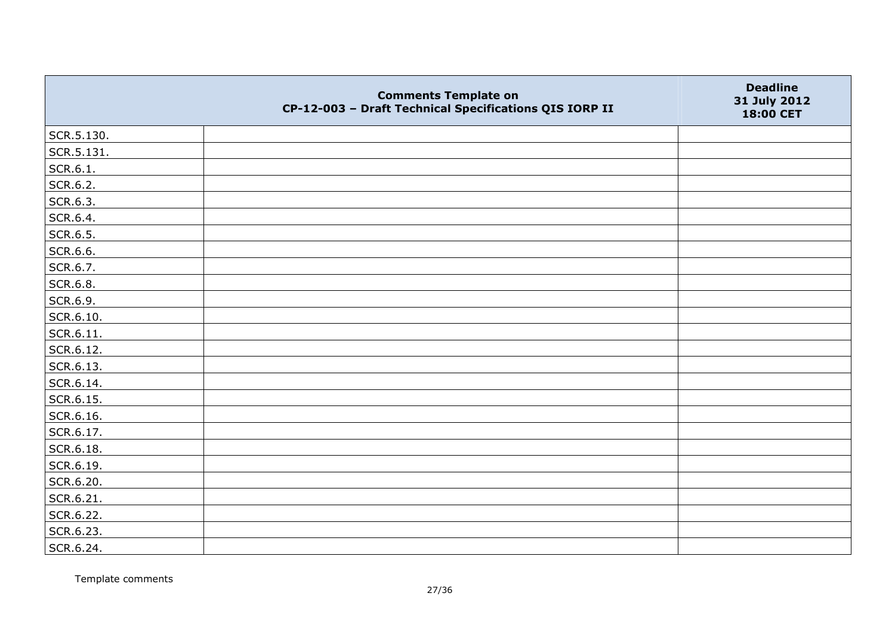|            | <b>Comments Template on</b><br>CP-12-003 - Draft Technical Specifications QIS IORP II | <b>Deadline</b><br>31 July 2012<br>18:00 CET |
|------------|---------------------------------------------------------------------------------------|----------------------------------------------|
| SCR.5.130. |                                                                                       |                                              |
| SCR.5.131. |                                                                                       |                                              |
| SCR.6.1.   |                                                                                       |                                              |
| SCR.6.2.   |                                                                                       |                                              |
| SCR.6.3.   |                                                                                       |                                              |
| SCR.6.4.   |                                                                                       |                                              |
| SCR.6.5.   |                                                                                       |                                              |
| SCR.6.6.   |                                                                                       |                                              |
| SCR.6.7.   |                                                                                       |                                              |
| SCR.6.8.   |                                                                                       |                                              |
| SCR.6.9.   |                                                                                       |                                              |
| SCR.6.10.  |                                                                                       |                                              |
| SCR.6.11.  |                                                                                       |                                              |
| SCR.6.12.  |                                                                                       |                                              |
| SCR.6.13.  |                                                                                       |                                              |
| SCR.6.14.  |                                                                                       |                                              |
| SCR.6.15.  |                                                                                       |                                              |
| SCR.6.16.  |                                                                                       |                                              |
| SCR.6.17.  |                                                                                       |                                              |
| SCR.6.18.  |                                                                                       |                                              |
| SCR.6.19.  |                                                                                       |                                              |
| SCR.6.20.  |                                                                                       |                                              |
| SCR.6.21.  |                                                                                       |                                              |
| SCR.6.22.  |                                                                                       |                                              |
| SCR.6.23.  |                                                                                       |                                              |
| SCR.6.24.  |                                                                                       |                                              |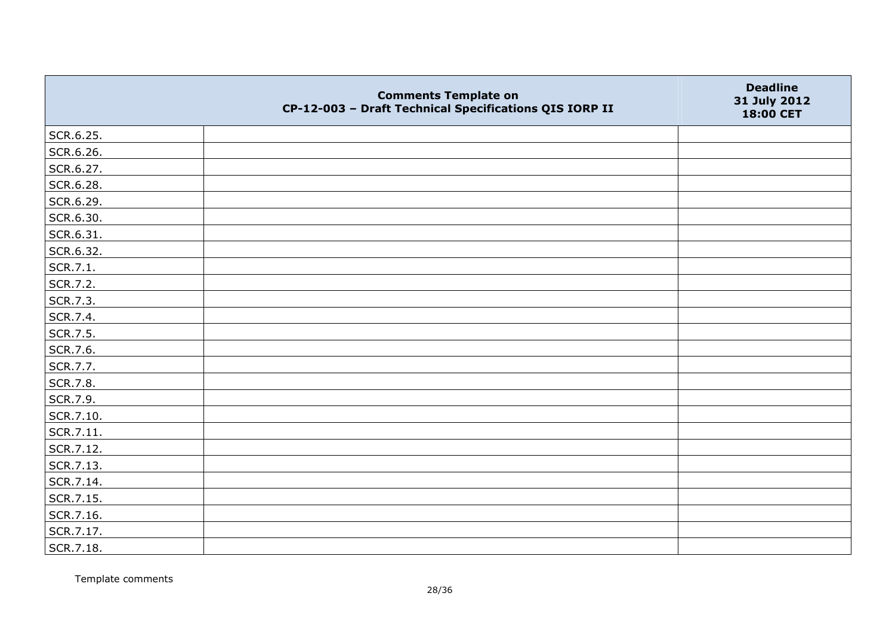|           | <b>Comments Template on</b><br>CP-12-003 - Draft Technical Specifications QIS IORP II | <b>Deadline</b><br>31 July 2012<br>18:00 CET |
|-----------|---------------------------------------------------------------------------------------|----------------------------------------------|
| SCR.6.25. |                                                                                       |                                              |
| SCR.6.26. |                                                                                       |                                              |
| SCR.6.27. |                                                                                       |                                              |
| SCR.6.28. |                                                                                       |                                              |
| SCR.6.29. |                                                                                       |                                              |
| SCR.6.30. |                                                                                       |                                              |
| SCR.6.31. |                                                                                       |                                              |
| SCR.6.32. |                                                                                       |                                              |
| SCR.7.1.  |                                                                                       |                                              |
| SCR.7.2.  |                                                                                       |                                              |
| SCR.7.3.  |                                                                                       |                                              |
| SCR.7.4.  |                                                                                       |                                              |
| SCR.7.5.  |                                                                                       |                                              |
| SCR.7.6.  |                                                                                       |                                              |
| SCR.7.7.  |                                                                                       |                                              |
| SCR.7.8.  |                                                                                       |                                              |
| SCR.7.9.  |                                                                                       |                                              |
| SCR.7.10. |                                                                                       |                                              |
| SCR.7.11. |                                                                                       |                                              |
| SCR.7.12. |                                                                                       |                                              |
| SCR.7.13. |                                                                                       |                                              |
| SCR.7.14. |                                                                                       |                                              |
| SCR.7.15. |                                                                                       |                                              |
| SCR.7.16. |                                                                                       |                                              |
| SCR.7.17. |                                                                                       |                                              |
| SCR.7.18. |                                                                                       |                                              |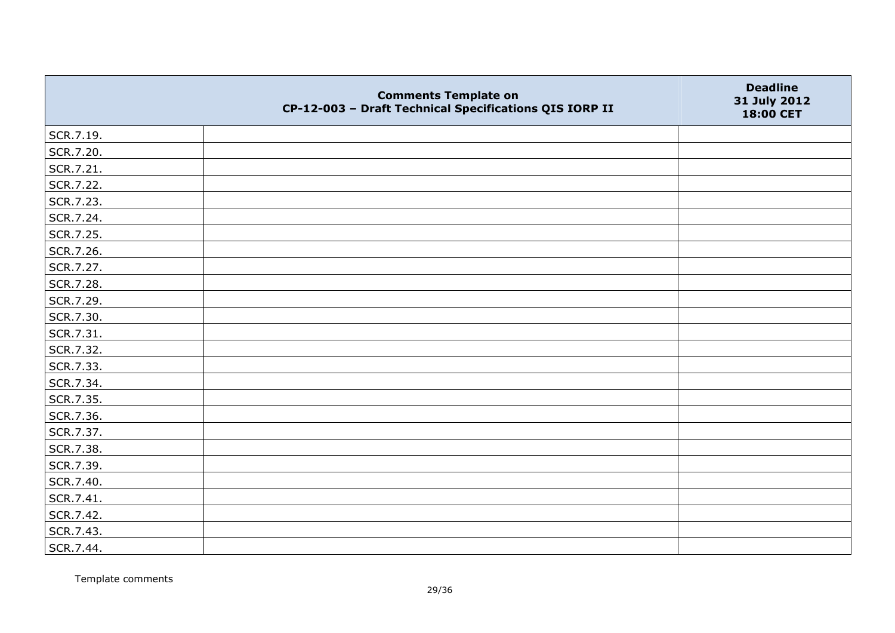|           | <b>Comments Template on</b><br>CP-12-003 - Draft Technical Specifications QIS IORP II | <b>Deadline</b><br>31 July 2012<br>18:00 CET |
|-----------|---------------------------------------------------------------------------------------|----------------------------------------------|
| SCR.7.19. |                                                                                       |                                              |
| SCR.7.20. |                                                                                       |                                              |
| SCR.7.21. |                                                                                       |                                              |
| SCR.7.22. |                                                                                       |                                              |
| SCR.7.23. |                                                                                       |                                              |
| SCR.7.24. |                                                                                       |                                              |
| SCR.7.25. |                                                                                       |                                              |
| SCR.7.26. |                                                                                       |                                              |
| SCR.7.27. |                                                                                       |                                              |
| SCR.7.28. |                                                                                       |                                              |
| SCR.7.29. |                                                                                       |                                              |
| SCR.7.30. |                                                                                       |                                              |
| SCR.7.31. |                                                                                       |                                              |
| SCR.7.32. |                                                                                       |                                              |
| SCR.7.33. |                                                                                       |                                              |
| SCR.7.34. |                                                                                       |                                              |
| SCR.7.35. |                                                                                       |                                              |
| SCR.7.36. |                                                                                       |                                              |
| SCR.7.37. |                                                                                       |                                              |
| SCR.7.38. |                                                                                       |                                              |
| SCR.7.39. |                                                                                       |                                              |
| SCR.7.40. |                                                                                       |                                              |
| SCR.7.41. |                                                                                       |                                              |
| SCR.7.42. |                                                                                       |                                              |
| SCR.7.43. |                                                                                       |                                              |
| SCR.7.44. |                                                                                       |                                              |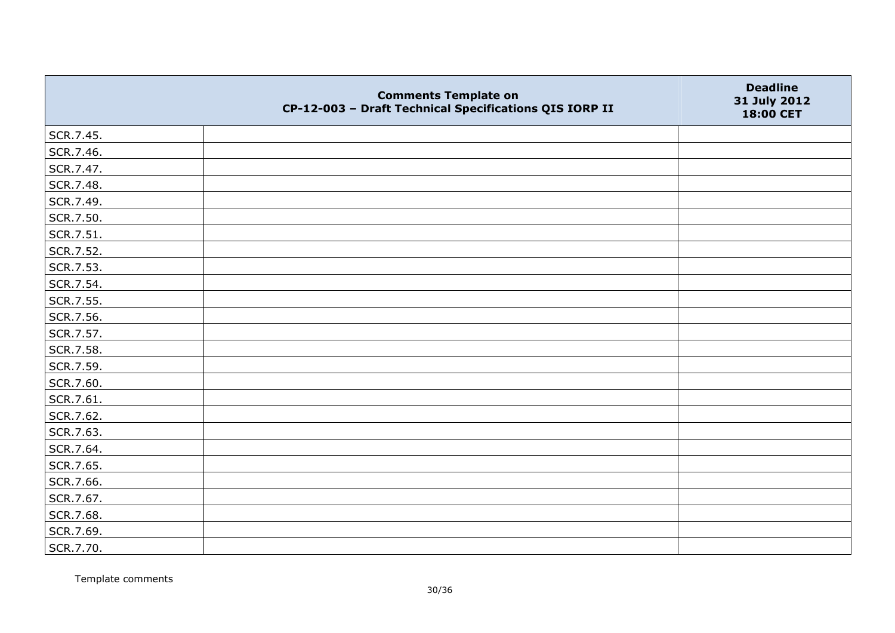|           | <b>Comments Template on</b><br>CP-12-003 - Draft Technical Specifications QIS IORP II | <b>Deadline</b><br>31 July 2012<br>18:00 CET |
|-----------|---------------------------------------------------------------------------------------|----------------------------------------------|
| SCR.7.45. |                                                                                       |                                              |
| SCR.7.46. |                                                                                       |                                              |
| SCR.7.47. |                                                                                       |                                              |
| SCR.7.48. |                                                                                       |                                              |
| SCR.7.49. |                                                                                       |                                              |
| SCR.7.50. |                                                                                       |                                              |
| SCR.7.51. |                                                                                       |                                              |
| SCR.7.52. |                                                                                       |                                              |
| SCR.7.53. |                                                                                       |                                              |
| SCR.7.54. |                                                                                       |                                              |
| SCR.7.55. |                                                                                       |                                              |
| SCR.7.56. |                                                                                       |                                              |
| SCR.7.57. |                                                                                       |                                              |
| SCR.7.58. |                                                                                       |                                              |
| SCR.7.59. |                                                                                       |                                              |
| SCR.7.60. |                                                                                       |                                              |
| SCR.7.61. |                                                                                       |                                              |
| SCR.7.62. |                                                                                       |                                              |
| SCR.7.63. |                                                                                       |                                              |
| SCR.7.64. |                                                                                       |                                              |
| SCR.7.65. |                                                                                       |                                              |
| SCR.7.66. |                                                                                       |                                              |
| SCR.7.67. |                                                                                       |                                              |
| SCR.7.68. |                                                                                       |                                              |
| SCR.7.69. |                                                                                       |                                              |
| SCR.7.70. |                                                                                       |                                              |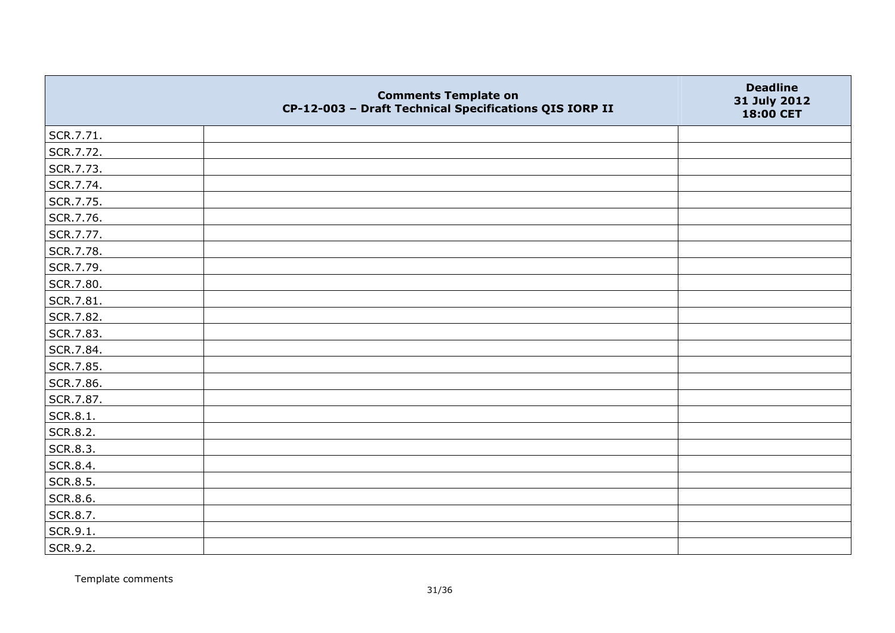|                 | <b>Comments Template on</b><br>CP-12-003 - Draft Technical Specifications QIS IORP II | <b>Deadline</b><br>31 July 2012<br>18:00 CET |
|-----------------|---------------------------------------------------------------------------------------|----------------------------------------------|
| SCR.7.71.       |                                                                                       |                                              |
| SCR.7.72.       |                                                                                       |                                              |
| SCR.7.73.       |                                                                                       |                                              |
| SCR.7.74.       |                                                                                       |                                              |
| SCR.7.75.       |                                                                                       |                                              |
| SCR.7.76.       |                                                                                       |                                              |
| SCR.7.77.       |                                                                                       |                                              |
| SCR.7.78.       |                                                                                       |                                              |
| SCR.7.79.       |                                                                                       |                                              |
| SCR.7.80.       |                                                                                       |                                              |
| SCR.7.81.       |                                                                                       |                                              |
| SCR.7.82.       |                                                                                       |                                              |
| SCR.7.83.       |                                                                                       |                                              |
| SCR.7.84.       |                                                                                       |                                              |
| SCR.7.85.       |                                                                                       |                                              |
| SCR.7.86.       |                                                                                       |                                              |
| SCR.7.87.       |                                                                                       |                                              |
| SCR.8.1.        |                                                                                       |                                              |
| <b>SCR.8.2.</b> |                                                                                       |                                              |
| SCR.8.3.        |                                                                                       |                                              |
| SCR.8.4.        |                                                                                       |                                              |
| <b>SCR.8.5.</b> |                                                                                       |                                              |
| SCR.8.6.        |                                                                                       |                                              |
| SCR.8.7.        |                                                                                       |                                              |
| SCR.9.1.        |                                                                                       |                                              |
| SCR.9.2.        |                                                                                       |                                              |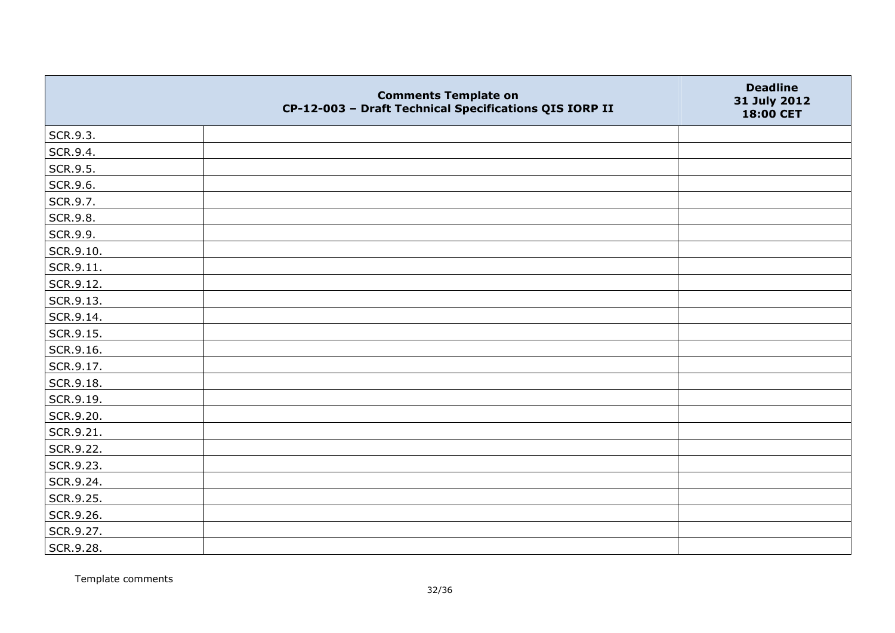|                 | <b>Comments Template on</b><br>CP-12-003 - Draft Technical Specifications QIS IORP II | <b>Deadline</b><br>31 July 2012<br>18:00 CET |
|-----------------|---------------------------------------------------------------------------------------|----------------------------------------------|
| SCR.9.3.        |                                                                                       |                                              |
| SCR.9.4.        |                                                                                       |                                              |
| SCR.9.5.        |                                                                                       |                                              |
| SCR.9.6.        |                                                                                       |                                              |
| SCR.9.7.        |                                                                                       |                                              |
| <b>SCR.9.8.</b> |                                                                                       |                                              |
| SCR.9.9.        |                                                                                       |                                              |
| SCR.9.10.       |                                                                                       |                                              |
| SCR.9.11.       |                                                                                       |                                              |
| SCR.9.12.       |                                                                                       |                                              |
| SCR.9.13.       |                                                                                       |                                              |
| SCR.9.14.       |                                                                                       |                                              |
| SCR.9.15.       |                                                                                       |                                              |
| SCR.9.16.       |                                                                                       |                                              |
| SCR.9.17.       |                                                                                       |                                              |
| SCR.9.18.       |                                                                                       |                                              |
| SCR.9.19.       |                                                                                       |                                              |
| SCR.9.20.       |                                                                                       |                                              |
| SCR.9.21.       |                                                                                       |                                              |
| SCR.9.22.       |                                                                                       |                                              |
| SCR.9.23.       |                                                                                       |                                              |
| SCR.9.24.       |                                                                                       |                                              |
| SCR.9.25.       |                                                                                       |                                              |
| SCR.9.26.       |                                                                                       |                                              |
| SCR.9.27.       |                                                                                       |                                              |
| SCR.9.28.       |                                                                                       |                                              |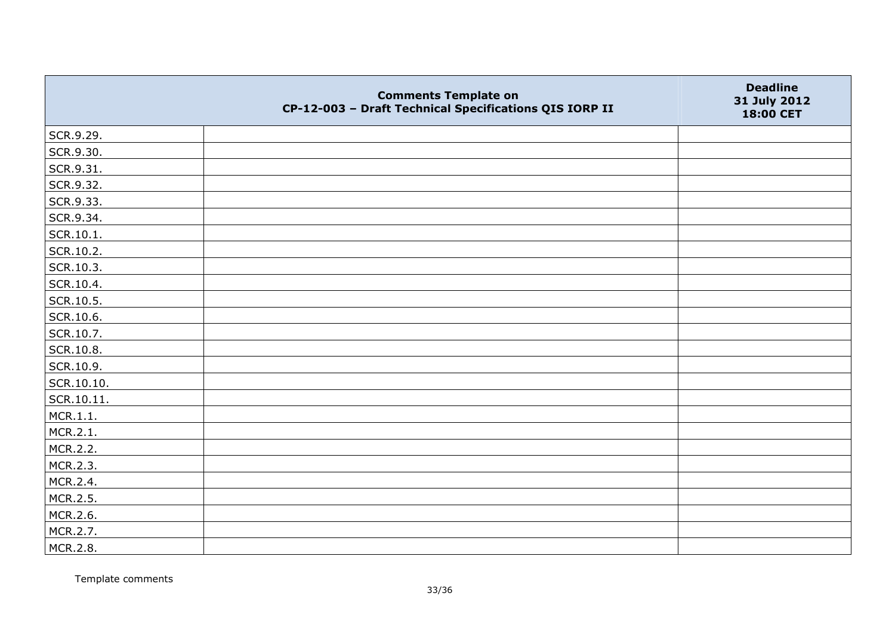|            | <b>Comments Template on</b><br>CP-12-003 - Draft Technical Specifications QIS IORP II | <b>Deadline</b><br>31 July 2012<br>18:00 CET |
|------------|---------------------------------------------------------------------------------------|----------------------------------------------|
| SCR.9.29.  |                                                                                       |                                              |
| SCR.9.30.  |                                                                                       |                                              |
| SCR.9.31.  |                                                                                       |                                              |
| SCR.9.32.  |                                                                                       |                                              |
| SCR.9.33.  |                                                                                       |                                              |
| SCR.9.34.  |                                                                                       |                                              |
| SCR.10.1.  |                                                                                       |                                              |
| SCR.10.2.  |                                                                                       |                                              |
| SCR.10.3.  |                                                                                       |                                              |
| SCR.10.4.  |                                                                                       |                                              |
| SCR.10.5.  |                                                                                       |                                              |
| SCR.10.6.  |                                                                                       |                                              |
| SCR.10.7.  |                                                                                       |                                              |
| SCR.10.8.  |                                                                                       |                                              |
| SCR.10.9.  |                                                                                       |                                              |
| SCR.10.10. |                                                                                       |                                              |
| SCR.10.11. |                                                                                       |                                              |
| MCR.1.1.   |                                                                                       |                                              |
| MCR.2.1.   |                                                                                       |                                              |
| MCR.2.2.   |                                                                                       |                                              |
| MCR.2.3.   |                                                                                       |                                              |
| MCR.2.4.   |                                                                                       |                                              |
| MCR.2.5.   |                                                                                       |                                              |
| MCR.2.6.   |                                                                                       |                                              |
| MCR.2.7.   |                                                                                       |                                              |
| MCR.2.8.   |                                                                                       |                                              |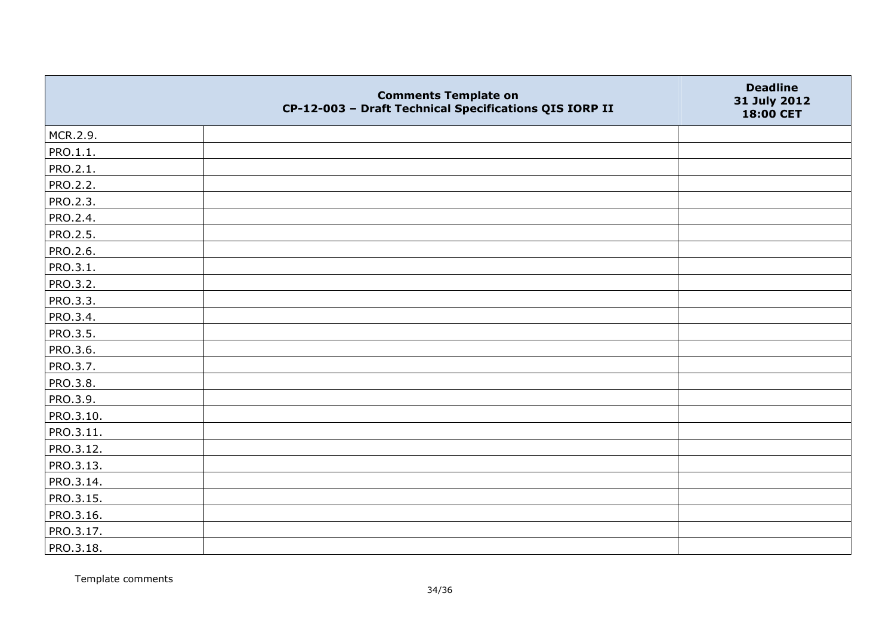|                 | <b>Comments Template on</b><br>CP-12-003 - Draft Technical Specifications QIS IORP II | <b>Deadline</b><br>31 July 2012<br>18:00 CET |
|-----------------|---------------------------------------------------------------------------------------|----------------------------------------------|
| MCR.2.9.        |                                                                                       |                                              |
| PRO.1.1.        |                                                                                       |                                              |
| PRO.2.1.        |                                                                                       |                                              |
| PRO.2.2.        |                                                                                       |                                              |
| PRO.2.3.        |                                                                                       |                                              |
| PRO.2.4.        |                                                                                       |                                              |
| PRO.2.5.        |                                                                                       |                                              |
| PRO.2.6.        |                                                                                       |                                              |
| PRO.3.1.        |                                                                                       |                                              |
| PRO.3.2.        |                                                                                       |                                              |
| PRO.3.3.        |                                                                                       |                                              |
| PRO.3.4.        |                                                                                       |                                              |
| <b>PRO.3.5.</b> |                                                                                       |                                              |
| PRO.3.6.        |                                                                                       |                                              |
| PRO.3.7.        |                                                                                       |                                              |
| PRO.3.8.        |                                                                                       |                                              |
| PRO.3.9.        |                                                                                       |                                              |
| PRO.3.10.       |                                                                                       |                                              |
| PRO.3.11.       |                                                                                       |                                              |
| PRO.3.12.       |                                                                                       |                                              |
| PRO.3.13.       |                                                                                       |                                              |
| PRO.3.14.       |                                                                                       |                                              |
| PRO.3.15.       |                                                                                       |                                              |
| PRO.3.16.       |                                                                                       |                                              |
| PRO.3.17.       |                                                                                       |                                              |
| PRO.3.18.       |                                                                                       |                                              |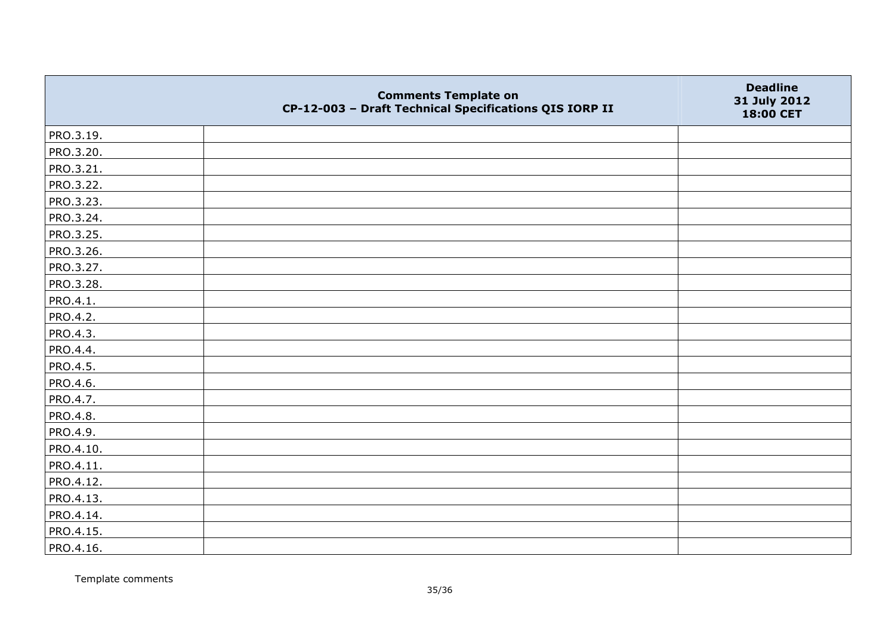|           | <b>Comments Template on</b><br>CP-12-003 - Draft Technical Specifications QIS IORP II | <b>Deadline</b><br>31 July 2012<br>18:00 CET |
|-----------|---------------------------------------------------------------------------------------|----------------------------------------------|
| PRO.3.19. |                                                                                       |                                              |
| PRO.3.20. |                                                                                       |                                              |
| PRO.3.21. |                                                                                       |                                              |
| PRO.3.22. |                                                                                       |                                              |
| PRO.3.23. |                                                                                       |                                              |
| PRO.3.24. |                                                                                       |                                              |
| PRO.3.25. |                                                                                       |                                              |
| PRO.3.26. |                                                                                       |                                              |
| PRO.3.27. |                                                                                       |                                              |
| PRO.3.28. |                                                                                       |                                              |
| PRO.4.1.  |                                                                                       |                                              |
| PRO.4.2.  |                                                                                       |                                              |
| PRO.4.3.  |                                                                                       |                                              |
| PRO.4.4.  |                                                                                       |                                              |
| PRO.4.5.  |                                                                                       |                                              |
| PRO.4.6.  |                                                                                       |                                              |
| PRO.4.7.  |                                                                                       |                                              |
| PRO.4.8.  |                                                                                       |                                              |
| PRO.4.9.  |                                                                                       |                                              |
| PRO.4.10. |                                                                                       |                                              |
| PRO.4.11. |                                                                                       |                                              |
| PRO.4.12. |                                                                                       |                                              |
| PRO.4.13. |                                                                                       |                                              |
| PRO.4.14. |                                                                                       |                                              |
| PRO.4.15. |                                                                                       |                                              |
| PRO.4.16. |                                                                                       |                                              |